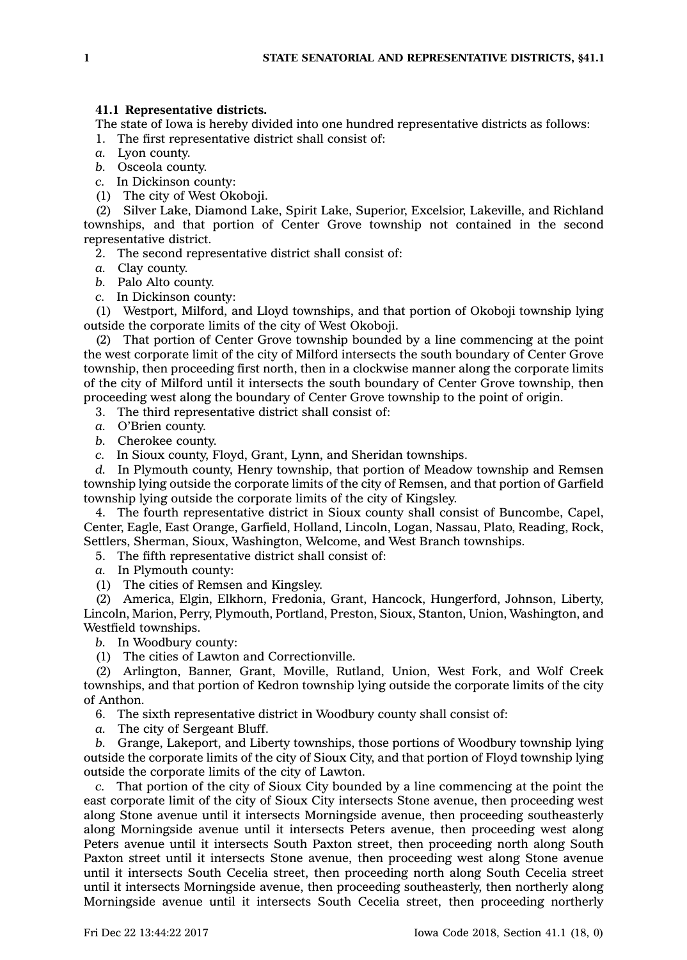The state of Iowa is hereby divided into one hundred representative districts as follows:

1. The first representative district shall consist of:

*a.* Lyon county.

*b.* Osceola county.

*c.* In Dickinson county:

(1) The city of West Okoboji.

(2) Silver Lake, Diamond Lake, Spirit Lake, Superior, Excelsior, Lakeville, and Richland townships, and that portion of Center Grove township not contained in the second representative district.

2. The second representative district shall consist of:

*a.* Clay county.

*b.* Palo Alto county.

*c.* In Dickinson county:

(1) Westport, Milford, and Lloyd townships, and that portion of Okoboji township lying outside the corporate limits of the city of West Okoboji.

(2) That portion of Center Grove township bounded by <sup>a</sup> line commencing at the point the west corporate limit of the city of Milford intersects the south boundary of Center Grove township, then proceeding first north, then in <sup>a</sup> clockwise manner along the corporate limits of the city of Milford until it intersects the south boundary of Center Grove township, then proceeding west along the boundary of Center Grove township to the point of origin.

3. The third representative district shall consist of:

*a.* O'Brien county.

*b.* Cherokee county.

*c.* In Sioux county, Floyd, Grant, Lynn, and Sheridan townships.

*d.* In Plymouth county, Henry township, that portion of Meadow township and Remsen township lying outside the corporate limits of the city of Remsen, and that portion of Garfield township lying outside the corporate limits of the city of Kingsley.

4. The fourth representative district in Sioux county shall consist of Buncombe, Capel, Center, Eagle, East Orange, Garfield, Holland, Lincoln, Logan, Nassau, Plato, Reading, Rock, Settlers, Sherman, Sioux, Washington, Welcome, and West Branch townships.

5. The fifth representative district shall consist of:

*a.* In Plymouth county:

(1) The cities of Remsen and Kingsley.

(2) America, Elgin, Elkhorn, Fredonia, Grant, Hancock, Hungerford, Johnson, Liberty, Lincoln, Marion, Perry, Plymouth, Portland, Preston, Sioux, Stanton, Union, Washington, and Westfield townships.

*b.* In Woodbury county:

(1) The cities of Lawton and Correctionville.

(2) Arlington, Banner, Grant, Moville, Rutland, Union, West Fork, and Wolf Creek townships, and that portion of Kedron township lying outside the corporate limits of the city of Anthon.

6. The sixth representative district in Woodbury county shall consist of:

*a.* The city of Sergeant Bluff.

*b.* Grange, Lakeport, and Liberty townships, those portions of Woodbury township lying outside the corporate limits of the city of Sioux City, and that portion of Floyd township lying outside the corporate limits of the city of Lawton.

*c.* That portion of the city of Sioux City bounded by <sup>a</sup> line commencing at the point the east corporate limit of the city of Sioux City intersects Stone avenue, then proceeding west along Stone avenue until it intersects Morningside avenue, then proceeding southeasterly along Morningside avenue until it intersects Peters avenue, then proceeding west along Peters avenue until it intersects South Paxton street, then proceeding north along South Paxton street until it intersects Stone avenue, then proceeding west along Stone avenue until it intersects South Cecelia street, then proceeding north along South Cecelia street until it intersects Morningside avenue, then proceeding southeasterly, then northerly along Morningside avenue until it intersects South Cecelia street, then proceeding northerly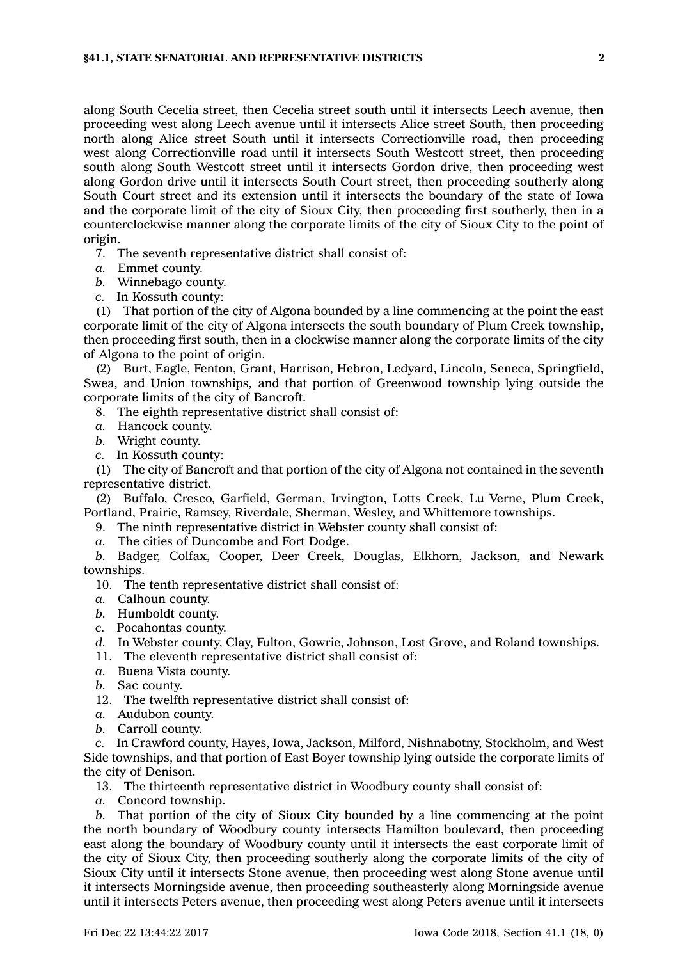along South Cecelia street, then Cecelia street south until it intersects Leech avenue, then proceeding west along Leech avenue until it intersects Alice street South, then proceeding north along Alice street South until it intersects Correctionville road, then proceeding west along Correctionville road until it intersects South Westcott street, then proceeding south along South Westcott street until it intersects Gordon drive, then proceeding west along Gordon drive until it intersects South Court street, then proceeding southerly along South Court street and its extension until it intersects the boundary of the state of Iowa and the corporate limit of the city of Sioux City, then proceeding first southerly, then in <sup>a</sup> counterclockwise manner along the corporate limits of the city of Sioux City to the point of origin.

7. The seventh representative district shall consist of:

- *a.* Emmet county.
- *b.* Winnebago county.
- *c.* In Kossuth county:

(1) That portion of the city of Algona bounded by <sup>a</sup> line commencing at the point the east corporate limit of the city of Algona intersects the south boundary of Plum Creek township, then proceeding first south, then in <sup>a</sup> clockwise manner along the corporate limits of the city of Algona to the point of origin.

(2) Burt, Eagle, Fenton, Grant, Harrison, Hebron, Ledyard, Lincoln, Seneca, Springfield, Swea, and Union townships, and that portion of Greenwood township lying outside the corporate limits of the city of Bancroft.

8. The eighth representative district shall consist of:

- *a.* Hancock county.
- *b.* Wright county.
- *c.* In Kossuth county:

(1) The city of Bancroft and that portion of the city of Algona not contained in the seventh representative district.

(2) Buffalo, Cresco, Garfield, German, Irvington, Lotts Creek, Lu Verne, Plum Creek, Portland, Prairie, Ramsey, Riverdale, Sherman, Wesley, and Whittemore townships.

9. The ninth representative district in Webster county shall consist of:

*a.* The cities of Duncombe and Fort Dodge.

*b.* Badger, Colfax, Cooper, Deer Creek, Douglas, Elkhorn, Jackson, and Newark townships.

10. The tenth representative district shall consist of:

- *a.* Calhoun county.
- *b.* Humboldt county.
- *c.* Pocahontas county.
- *d.* In Webster county, Clay, Fulton, Gowrie, Johnson, Lost Grove, and Roland townships.
- 11. The eleventh representative district shall consist of:
- *a.* Buena Vista county.
- *b.* Sac county.

12. The twelfth representative district shall consist of:

- *a.* Audubon county.
- *b.* Carroll county.

*c.* In Crawford county, Hayes, Iowa, Jackson, Milford, Nishnabotny, Stockholm, and West Side townships, and that portion of East Boyer township lying outside the corporate limits of the city of Denison.

13. The thirteenth representative district in Woodbury county shall consist of:

*a.* Concord township.

*b.* That portion of the city of Sioux City bounded by <sup>a</sup> line commencing at the point the north boundary of Woodbury county intersects Hamilton boulevard, then proceeding east along the boundary of Woodbury county until it intersects the east corporate limit of the city of Sioux City, then proceeding southerly along the corporate limits of the city of Sioux City until it intersects Stone avenue, then proceeding west along Stone avenue until it intersects Morningside avenue, then proceeding southeasterly along Morningside avenue until it intersects Peters avenue, then proceeding west along Peters avenue until it intersects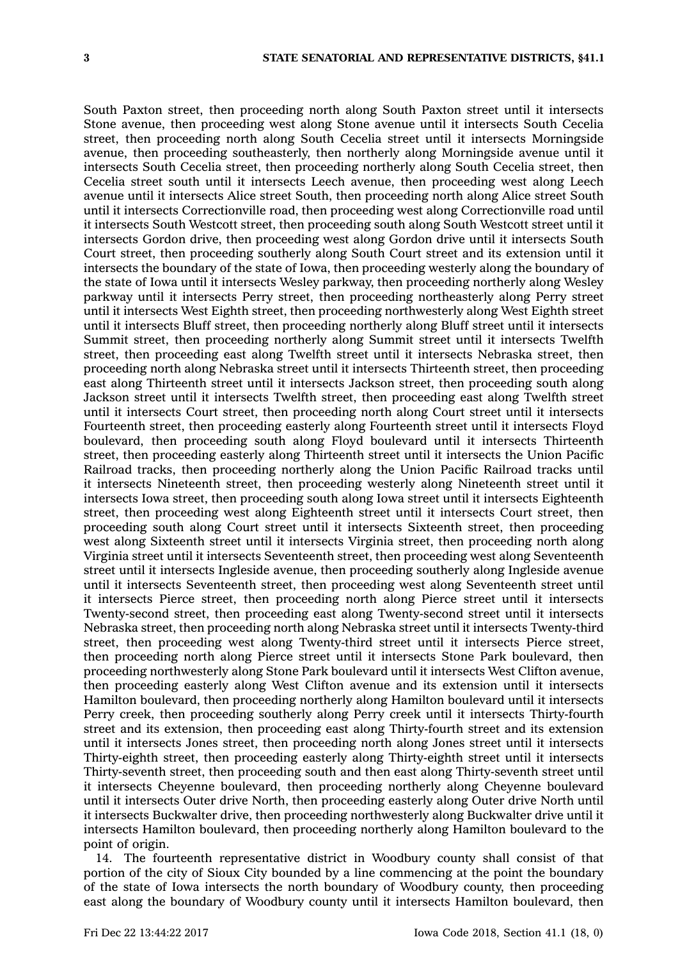South Paxton street, then proceeding north along South Paxton street until it intersects Stone avenue, then proceeding west along Stone avenue until it intersects South Cecelia street, then proceeding north along South Cecelia street until it intersects Morningside avenue, then proceeding southeasterly, then northerly along Morningside avenue until it intersects South Cecelia street, then proceeding northerly along South Cecelia street, then Cecelia street south until it intersects Leech avenue, then proceeding west along Leech avenue until it intersects Alice street South, then proceeding north along Alice street South until it intersects Correctionville road, then proceeding west along Correctionville road until it intersects South Westcott street, then proceeding south along South Westcott street until it intersects Gordon drive, then proceeding west along Gordon drive until it intersects South Court street, then proceeding southerly along South Court street and its extension until it intersects the boundary of the state of Iowa, then proceeding westerly along the boundary of the state of Iowa until it intersects Wesley parkway, then proceeding northerly along Wesley parkway until it intersects Perry street, then proceeding northeasterly along Perry street until it intersects West Eighth street, then proceeding northwesterly along West Eighth street until it intersects Bluff street, then proceeding northerly along Bluff street until it intersects Summit street, then proceeding northerly along Summit street until it intersects Twelfth street, then proceeding east along Twelfth street until it intersects Nebraska street, then proceeding north along Nebraska street until it intersects Thirteenth street, then proceeding east along Thirteenth street until it intersects Jackson street, then proceeding south along Jackson street until it intersects Twelfth street, then proceeding east along Twelfth street until it intersects Court street, then proceeding north along Court street until it intersects Fourteenth street, then proceeding easterly along Fourteenth street until it intersects Floyd boulevard, then proceeding south along Floyd boulevard until it intersects Thirteenth street, then proceeding easterly along Thirteenth street until it intersects the Union Pacific Railroad tracks, then proceeding northerly along the Union Pacific Railroad tracks until it intersects Nineteenth street, then proceeding westerly along Nineteenth street until it intersects Iowa street, then proceeding south along Iowa street until it intersects Eighteenth street, then proceeding west along Eighteenth street until it intersects Court street, then proceeding south along Court street until it intersects Sixteenth street, then proceeding west along Sixteenth street until it intersects Virginia street, then proceeding north along Virginia street until it intersects Seventeenth street, then proceeding west along Seventeenth street until it intersects Ingleside avenue, then proceeding southerly along Ingleside avenue until it intersects Seventeenth street, then proceeding west along Seventeenth street until it intersects Pierce street, then proceeding north along Pierce street until it intersects Twenty-second street, then proceeding east along Twenty-second street until it intersects Nebraska street, then proceeding north along Nebraska street until it intersects Twenty-third street, then proceeding west along Twenty-third street until it intersects Pierce street, then proceeding north along Pierce street until it intersects Stone Park boulevard, then proceeding northwesterly along Stone Park boulevard until it intersects West Clifton avenue, then proceeding easterly along West Clifton avenue and its extension until it intersects Hamilton boulevard, then proceeding northerly along Hamilton boulevard until it intersects Perry creek, then proceeding southerly along Perry creek until it intersects Thirty-fourth street and its extension, then proceeding east along Thirty-fourth street and its extension until it intersects Jones street, then proceeding north along Jones street until it intersects Thirty-eighth street, then proceeding easterly along Thirty-eighth street until it intersects Thirty-seventh street, then proceeding south and then east along Thirty-seventh street until it intersects Cheyenne boulevard, then proceeding northerly along Cheyenne boulevard until it intersects Outer drive North, then proceeding easterly along Outer drive North until it intersects Buckwalter drive, then proceeding northwesterly along Buckwalter drive until it intersects Hamilton boulevard, then proceeding northerly along Hamilton boulevard to the point of origin.

14. The fourteenth representative district in Woodbury county shall consist of that portion of the city of Sioux City bounded by <sup>a</sup> line commencing at the point the boundary of the state of Iowa intersects the north boundary of Woodbury county, then proceeding east along the boundary of Woodbury county until it intersects Hamilton boulevard, then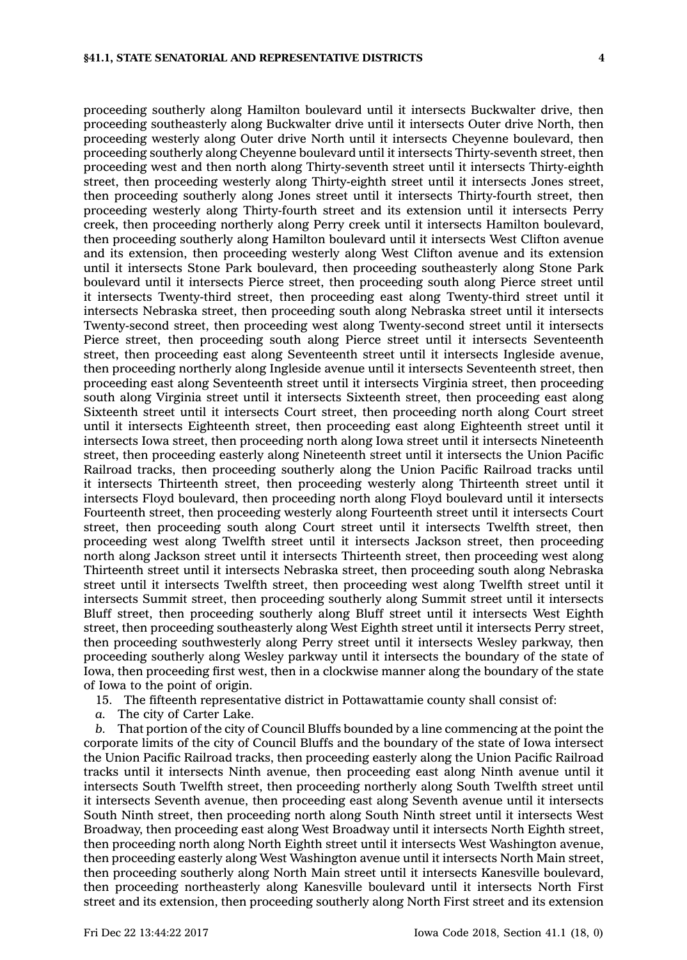proceeding southerly along Hamilton boulevard until it intersects Buckwalter drive, then proceeding southeasterly along Buckwalter drive until it intersects Outer drive North, then proceeding westerly along Outer drive North until it intersects Cheyenne boulevard, then proceeding southerly along Cheyenne boulevard until it intersects Thirty-seventh street, then proceeding west and then north along Thirty-seventh street until it intersects Thirty-eighth street, then proceeding westerly along Thirty-eighth street until it intersects Jones street, then proceeding southerly along Jones street until it intersects Thirty-fourth street, then proceeding westerly along Thirty-fourth street and its extension until it intersects Perry creek, then proceeding northerly along Perry creek until it intersects Hamilton boulevard, then proceeding southerly along Hamilton boulevard until it intersects West Clifton avenue and its extension, then proceeding westerly along West Clifton avenue and its extension until it intersects Stone Park boulevard, then proceeding southeasterly along Stone Park boulevard until it intersects Pierce street, then proceeding south along Pierce street until it intersects Twenty-third street, then proceeding east along Twenty-third street until it intersects Nebraska street, then proceeding south along Nebraska street until it intersects Twenty-second street, then proceeding west along Twenty-second street until it intersects Pierce street, then proceeding south along Pierce street until it intersects Seventeenth street, then proceeding east along Seventeenth street until it intersects Ingleside avenue, then proceeding northerly along Ingleside avenue until it intersects Seventeenth street, then proceeding east along Seventeenth street until it intersects Virginia street, then proceeding south along Virginia street until it intersects Sixteenth street, then proceeding east along Sixteenth street until it intersects Court street, then proceeding north along Court street until it intersects Eighteenth street, then proceeding east along Eighteenth street until it intersects Iowa street, then proceeding north along Iowa street until it intersects Nineteenth street, then proceeding easterly along Nineteenth street until it intersects the Union Pacific Railroad tracks, then proceeding southerly along the Union Pacific Railroad tracks until it intersects Thirteenth street, then proceeding westerly along Thirteenth street until it intersects Floyd boulevard, then proceeding north along Floyd boulevard until it intersects Fourteenth street, then proceeding westerly along Fourteenth street until it intersects Court street, then proceeding south along Court street until it intersects Twelfth street, then proceeding west along Twelfth street until it intersects Jackson street, then proceeding north along Jackson street until it intersects Thirteenth street, then proceeding west along Thirteenth street until it intersects Nebraska street, then proceeding south along Nebraska street until it intersects Twelfth street, then proceeding west along Twelfth street until it intersects Summit street, then proceeding southerly along Summit street until it intersects Bluff street, then proceeding southerly along Bluff street until it intersects West Eighth street, then proceeding southeasterly along West Eighth street until it intersects Perry street, then proceeding southwesterly along Perry street until it intersects Wesley parkway, then proceeding southerly along Wesley parkway until it intersects the boundary of the state of Iowa, then proceeding first west, then in <sup>a</sup> clockwise manner along the boundary of the state of Iowa to the point of origin.

15. The fifteenth representative district in Pottawattamie county shall consist of:

*a.* The city of Carter Lake.

*b.* That portion of the city of Council Bluffs bounded by <sup>a</sup> line commencing at the point the corporate limits of the city of Council Bluffs and the boundary of the state of Iowa intersect the Union Pacific Railroad tracks, then proceeding easterly along the Union Pacific Railroad tracks until it intersects Ninth avenue, then proceeding east along Ninth avenue until it intersects South Twelfth street, then proceeding northerly along South Twelfth street until it intersects Seventh avenue, then proceeding east along Seventh avenue until it intersects South Ninth street, then proceeding north along South Ninth street until it intersects West Broadway, then proceeding east along West Broadway until it intersects North Eighth street, then proceeding north along North Eighth street until it intersects West Washington avenue, then proceeding easterly along West Washington avenue until it intersects North Main street, then proceeding southerly along North Main street until it intersects Kanesville boulevard, then proceeding northeasterly along Kanesville boulevard until it intersects North First street and its extension, then proceeding southerly along North First street and its extension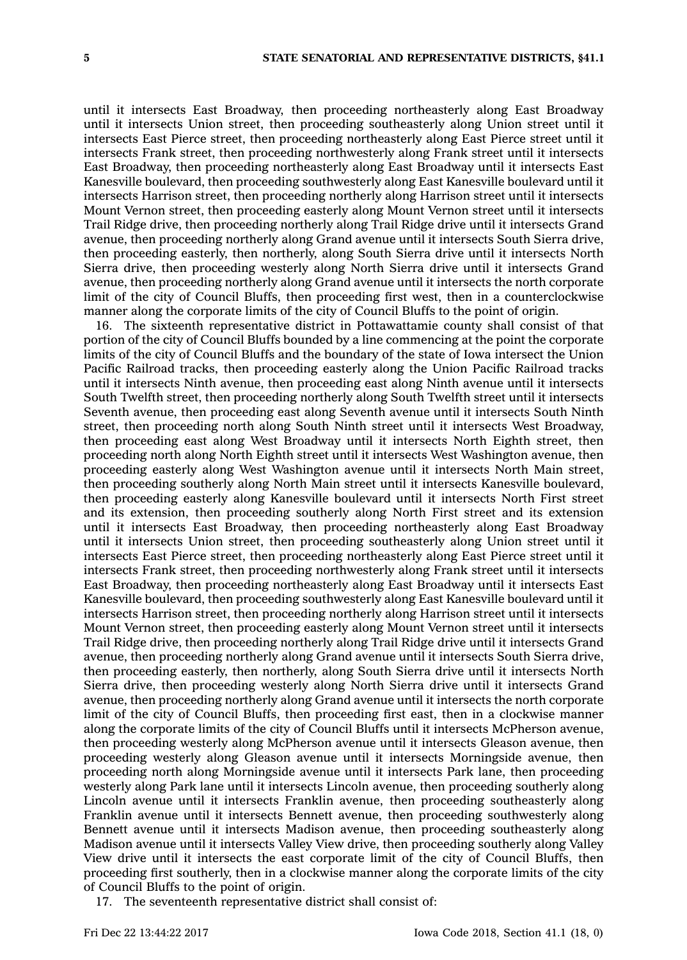until it intersects East Broadway, then proceeding northeasterly along East Broadway until it intersects Union street, then proceeding southeasterly along Union street until it intersects East Pierce street, then proceeding northeasterly along East Pierce street until it intersects Frank street, then proceeding northwesterly along Frank street until it intersects East Broadway, then proceeding northeasterly along East Broadway until it intersects East Kanesville boulevard, then proceeding southwesterly along East Kanesville boulevard until it intersects Harrison street, then proceeding northerly along Harrison street until it intersects Mount Vernon street, then proceeding easterly along Mount Vernon street until it intersects Trail Ridge drive, then proceeding northerly along Trail Ridge drive until it intersects Grand avenue, then proceeding northerly along Grand avenue until it intersects South Sierra drive, then proceeding easterly, then northerly, along South Sierra drive until it intersects North Sierra drive, then proceeding westerly along North Sierra drive until it intersects Grand avenue, then proceeding northerly along Grand avenue until it intersects the north corporate limit of the city of Council Bluffs, then proceeding first west, then in <sup>a</sup> counterclockwise manner along the corporate limits of the city of Council Bluffs to the point of origin.

16. The sixteenth representative district in Pottawattamie county shall consist of that portion of the city of Council Bluffs bounded by <sup>a</sup> line commencing at the point the corporate limits of the city of Council Bluffs and the boundary of the state of Iowa intersect the Union Pacific Railroad tracks, then proceeding easterly along the Union Pacific Railroad tracks until it intersects Ninth avenue, then proceeding east along Ninth avenue until it intersects South Twelfth street, then proceeding northerly along South Twelfth street until it intersects Seventh avenue, then proceeding east along Seventh avenue until it intersects South Ninth street, then proceeding north along South Ninth street until it intersects West Broadway, then proceeding east along West Broadway until it intersects North Eighth street, then proceeding north along North Eighth street until it intersects West Washington avenue, then proceeding easterly along West Washington avenue until it intersects North Main street, then proceeding southerly along North Main street until it intersects Kanesville boulevard, then proceeding easterly along Kanesville boulevard until it intersects North First street and its extension, then proceeding southerly along North First street and its extension until it intersects East Broadway, then proceeding northeasterly along East Broadway until it intersects Union street, then proceeding southeasterly along Union street until it intersects East Pierce street, then proceeding northeasterly along East Pierce street until it intersects Frank street, then proceeding northwesterly along Frank street until it intersects East Broadway, then proceeding northeasterly along East Broadway until it intersects East Kanesville boulevard, then proceeding southwesterly along East Kanesville boulevard until it intersects Harrison street, then proceeding northerly along Harrison street until it intersects Mount Vernon street, then proceeding easterly along Mount Vernon street until it intersects Trail Ridge drive, then proceeding northerly along Trail Ridge drive until it intersects Grand avenue, then proceeding northerly along Grand avenue until it intersects South Sierra drive, then proceeding easterly, then northerly, along South Sierra drive until it intersects North Sierra drive, then proceeding westerly along North Sierra drive until it intersects Grand avenue, then proceeding northerly along Grand avenue until it intersects the north corporate limit of the city of Council Bluffs, then proceeding first east, then in <sup>a</sup> clockwise manner along the corporate limits of the city of Council Bluffs until it intersects McPherson avenue, then proceeding westerly along McPherson avenue until it intersects Gleason avenue, then proceeding westerly along Gleason avenue until it intersects Morningside avenue, then proceeding north along Morningside avenue until it intersects Park lane, then proceeding westerly along Park lane until it intersects Lincoln avenue, then proceeding southerly along Lincoln avenue until it intersects Franklin avenue, then proceeding southeasterly along Franklin avenue until it intersects Bennett avenue, then proceeding southwesterly along Bennett avenue until it intersects Madison avenue, then proceeding southeasterly along Madison avenue until it intersects Valley View drive, then proceeding southerly along Valley View drive until it intersects the east corporate limit of the city of Council Bluffs, then proceeding first southerly, then in <sup>a</sup> clockwise manner along the corporate limits of the city of Council Bluffs to the point of origin.

17. The seventeenth representative district shall consist of: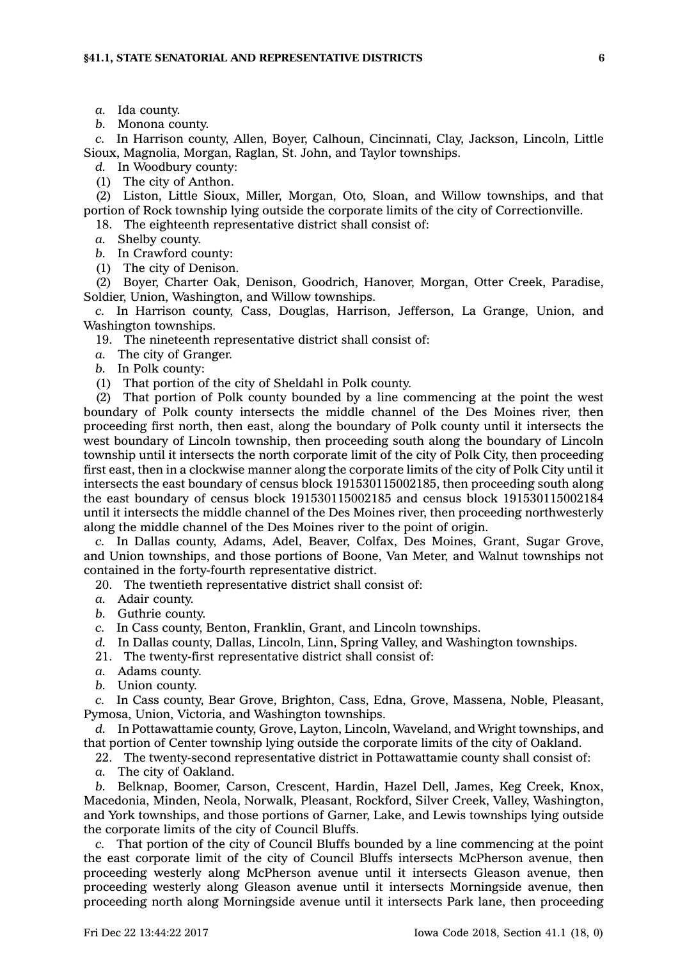*a.* Ida county.

*b.* Monona county.

*c.* In Harrison county, Allen, Boyer, Calhoun, Cincinnati, Clay, Jackson, Lincoln, Little Sioux, Magnolia, Morgan, Raglan, St. John, and Taylor townships.

*d.* In Woodbury county:

(1) The city of Anthon.

(2) Liston, Little Sioux, Miller, Morgan, Oto, Sloan, and Willow townships, and that portion of Rock township lying outside the corporate limits of the city of Correctionville.

18. The eighteenth representative district shall consist of:

*a.* Shelby county.

*b.* In Crawford county:

(1) The city of Denison.

(2) Boyer, Charter Oak, Denison, Goodrich, Hanover, Morgan, Otter Creek, Paradise, Soldier, Union, Washington, and Willow townships.

*c.* In Harrison county, Cass, Douglas, Harrison, Jefferson, La Grange, Union, and Washington townships.

19. The nineteenth representative district shall consist of:

*a.* The city of Granger.

*b.* In Polk county:

(1) That portion of the city of Sheldahl in Polk county.

(2) That portion of Polk county bounded by <sup>a</sup> line commencing at the point the west boundary of Polk county intersects the middle channel of the Des Moines river, then proceeding first north, then east, along the boundary of Polk county until it intersects the west boundary of Lincoln township, then proceeding south along the boundary of Lincoln township until it intersects the north corporate limit of the city of Polk City, then proceeding first east, then in <sup>a</sup> clockwise manner along the corporate limits of the city of Polk City until it intersects the east boundary of census block 191530115002185, then proceeding south along the east boundary of census block 191530115002185 and census block 191530115002184 until it intersects the middle channel of the Des Moines river, then proceeding northwesterly along the middle channel of the Des Moines river to the point of origin.

*c.* In Dallas county, Adams, Adel, Beaver, Colfax, Des Moines, Grant, Sugar Grove, and Union townships, and those portions of Boone, Van Meter, and Walnut townships not contained in the forty-fourth representative district.

20. The twentieth representative district shall consist of:

- *a.* Adair county.
- *b.* Guthrie county.
- *c.* In Cass county, Benton, Franklin, Grant, and Lincoln townships.
- *d.* In Dallas county, Dallas, Lincoln, Linn, Spring Valley, and Washington townships.
- 21. The twenty-first representative district shall consist of:
- *a.* Adams county.
- *b.* Union county.

*c.* In Cass county, Bear Grove, Brighton, Cass, Edna, Grove, Massena, Noble, Pleasant, Pymosa, Union, Victoria, and Washington townships.

*d.* In Pottawattamie county, Grove, Layton, Lincoln, Waveland, and Wright townships, and that portion of Center township lying outside the corporate limits of the city of Oakland.

22. The twenty-second representative district in Pottawattamie county shall consist of:

*a.* The city of Oakland.

*b.* Belknap, Boomer, Carson, Crescent, Hardin, Hazel Dell, James, Keg Creek, Knox, Macedonia, Minden, Neola, Norwalk, Pleasant, Rockford, Silver Creek, Valley, Washington, and York townships, and those portions of Garner, Lake, and Lewis townships lying outside the corporate limits of the city of Council Bluffs.

*c.* That portion of the city of Council Bluffs bounded by <sup>a</sup> line commencing at the point the east corporate limit of the city of Council Bluffs intersects McPherson avenue, then proceeding westerly along McPherson avenue until it intersects Gleason avenue, then proceeding westerly along Gleason avenue until it intersects Morningside avenue, then proceeding north along Morningside avenue until it intersects Park lane, then proceeding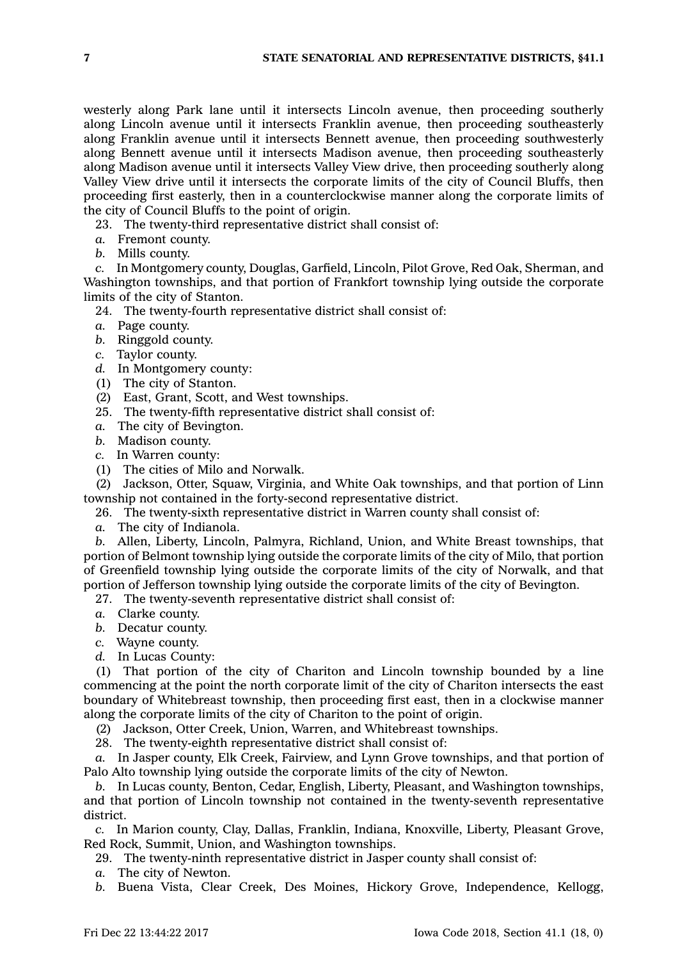westerly along Park lane until it intersects Lincoln avenue, then proceeding southerly along Lincoln avenue until it intersects Franklin avenue, then proceeding southeasterly along Franklin avenue until it intersects Bennett avenue, then proceeding southwesterly along Bennett avenue until it intersects Madison avenue, then proceeding southeasterly along Madison avenue until it intersects Valley View drive, then proceeding southerly along Valley View drive until it intersects the corporate limits of the city of Council Bluffs, then proceeding first easterly, then in <sup>a</sup> counterclockwise manner along the corporate limits of the city of Council Bluffs to the point of origin.

23. The twenty-third representative district shall consist of:

- *a.* Fremont county.
- *b.* Mills county.

*c.* In Montgomery county, Douglas, Garfield, Lincoln, Pilot Grove, Red Oak, Sherman, and Washington townships, and that portion of Frankfort township lying outside the corporate limits of the city of Stanton.

- 24. The twenty-fourth representative district shall consist of:
- *a.* Page county.
- *b.* Ringgold county.
- *c.* Taylor county.
- *d.* In Montgomery county:
- (1) The city of Stanton.
- (2) East, Grant, Scott, and West townships.
- 25. The twenty-fifth representative district shall consist of:
- *a.* The city of Bevington.
- *b.* Madison county.
- *c.* In Warren county:
- (1) The cities of Milo and Norwalk.

(2) Jackson, Otter, Squaw, Virginia, and White Oak townships, and that portion of Linn township not contained in the forty-second representative district.

- 26. The twenty-sixth representative district in Warren county shall consist of:
- *a.* The city of Indianola.

*b.* Allen, Liberty, Lincoln, Palmyra, Richland, Union, and White Breast townships, that portion of Belmont township lying outside the corporate limits of the city of Milo, that portion of Greenfield township lying outside the corporate limits of the city of Norwalk, and that portion of Jefferson township lying outside the corporate limits of the city of Bevington.

27. The twenty-seventh representative district shall consist of:

- *a.* Clarke county.
- *b.* Decatur county.
- *c.* Wayne county.
- *d.* In Lucas County:

(1) That portion of the city of Chariton and Lincoln township bounded by <sup>a</sup> line commencing at the point the north corporate limit of the city of Chariton intersects the east boundary of Whitebreast township, then proceeding first east, then in <sup>a</sup> clockwise manner along the corporate limits of the city of Chariton to the point of origin.

(2) Jackson, Otter Creek, Union, Warren, and Whitebreast townships.

28. The twenty-eighth representative district shall consist of:

*a.* In Jasper county, Elk Creek, Fairview, and Lynn Grove townships, and that portion of Palo Alto township lying outside the corporate limits of the city of Newton.

*b.* In Lucas county, Benton, Cedar, English, Liberty, Pleasant, and Washington townships, and that portion of Lincoln township not contained in the twenty-seventh representative district.

*c.* In Marion county, Clay, Dallas, Franklin, Indiana, Knoxville, Liberty, Pleasant Grove, Red Rock, Summit, Union, and Washington townships.

29. The twenty-ninth representative district in Jasper county shall consist of:

- *a.* The city of Newton.
- *b.* Buena Vista, Clear Creek, Des Moines, Hickory Grove, Independence, Kellogg,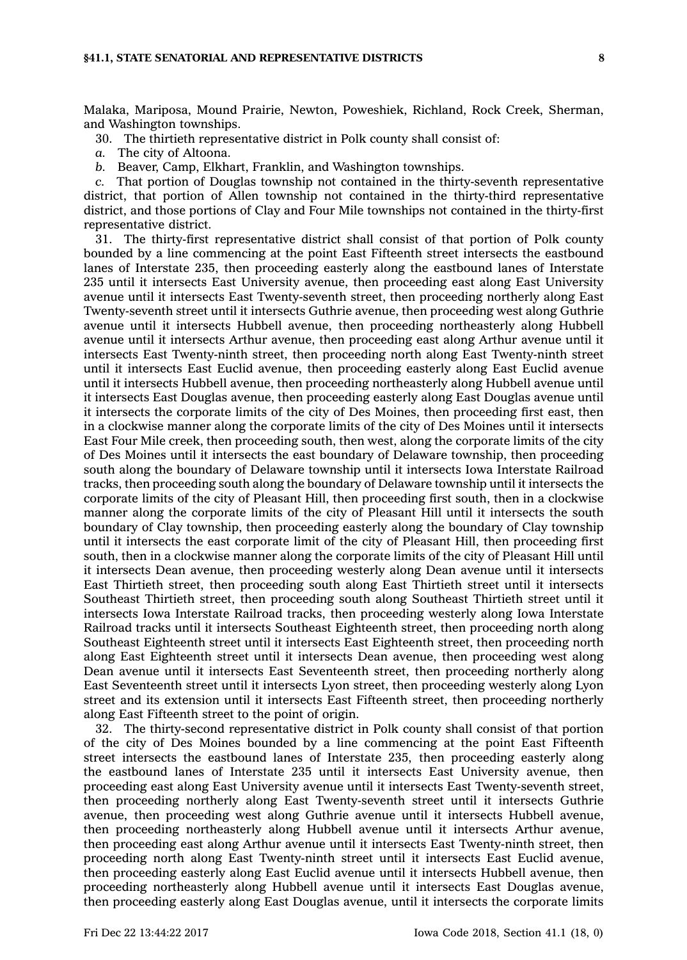Malaka, Mariposa, Mound Prairie, Newton, Poweshiek, Richland, Rock Creek, Sherman, and Washington townships.

30. The thirtieth representative district in Polk county shall consist of:

*a.* The city of Altoona.

*b.* Beaver, Camp, Elkhart, Franklin, and Washington townships.

*c.* That portion of Douglas township not contained in the thirty-seventh representative district, that portion of Allen township not contained in the thirty-third representative district, and those portions of Clay and Four Mile townships not contained in the thirty-first representative district.

31. The thirty-first representative district shall consist of that portion of Polk county bounded by <sup>a</sup> line commencing at the point East Fifteenth street intersects the eastbound lanes of Interstate 235, then proceeding easterly along the eastbound lanes of Interstate 235 until it intersects East University avenue, then proceeding east along East University avenue until it intersects East Twenty-seventh street, then proceeding northerly along East Twenty-seventh street until it intersects Guthrie avenue, then proceeding west along Guthrie avenue until it intersects Hubbell avenue, then proceeding northeasterly along Hubbell avenue until it intersects Arthur avenue, then proceeding east along Arthur avenue until it intersects East Twenty-ninth street, then proceeding north along East Twenty-ninth street until it intersects East Euclid avenue, then proceeding easterly along East Euclid avenue until it intersects Hubbell avenue, then proceeding northeasterly along Hubbell avenue until it intersects East Douglas avenue, then proceeding easterly along East Douglas avenue until it intersects the corporate limits of the city of Des Moines, then proceeding first east, then in <sup>a</sup> clockwise manner along the corporate limits of the city of Des Moines until it intersects East Four Mile creek, then proceeding south, then west, along the corporate limits of the city of Des Moines until it intersects the east boundary of Delaware township, then proceeding south along the boundary of Delaware township until it intersects Iowa Interstate Railroad tracks, then proceeding south along the boundary of Delaware township until it intersects the corporate limits of the city of Pleasant Hill, then proceeding first south, then in <sup>a</sup> clockwise manner along the corporate limits of the city of Pleasant Hill until it intersects the south boundary of Clay township, then proceeding easterly along the boundary of Clay township until it intersects the east corporate limit of the city of Pleasant Hill, then proceeding first south, then in <sup>a</sup> clockwise manner along the corporate limits of the city of Pleasant Hill until it intersects Dean avenue, then proceeding westerly along Dean avenue until it intersects East Thirtieth street, then proceeding south along East Thirtieth street until it intersects Southeast Thirtieth street, then proceeding south along Southeast Thirtieth street until it intersects Iowa Interstate Railroad tracks, then proceeding westerly along Iowa Interstate Railroad tracks until it intersects Southeast Eighteenth street, then proceeding north along Southeast Eighteenth street until it intersects East Eighteenth street, then proceeding north along East Eighteenth street until it intersects Dean avenue, then proceeding west along Dean avenue until it intersects East Seventeenth street, then proceeding northerly along East Seventeenth street until it intersects Lyon street, then proceeding westerly along Lyon street and its extension until it intersects East Fifteenth street, then proceeding northerly along East Fifteenth street to the point of origin.

32. The thirty-second representative district in Polk county shall consist of that portion of the city of Des Moines bounded by <sup>a</sup> line commencing at the point East Fifteenth street intersects the eastbound lanes of Interstate 235, then proceeding easterly along the eastbound lanes of Interstate 235 until it intersects East University avenue, then proceeding east along East University avenue until it intersects East Twenty-seventh street, then proceeding northerly along East Twenty-seventh street until it intersects Guthrie avenue, then proceeding west along Guthrie avenue until it intersects Hubbell avenue, then proceeding northeasterly along Hubbell avenue until it intersects Arthur avenue, then proceeding east along Arthur avenue until it intersects East Twenty-ninth street, then proceeding north along East Twenty-ninth street until it intersects East Euclid avenue, then proceeding easterly along East Euclid avenue until it intersects Hubbell avenue, then proceeding northeasterly along Hubbell avenue until it intersects East Douglas avenue, then proceeding easterly along East Douglas avenue, until it intersects the corporate limits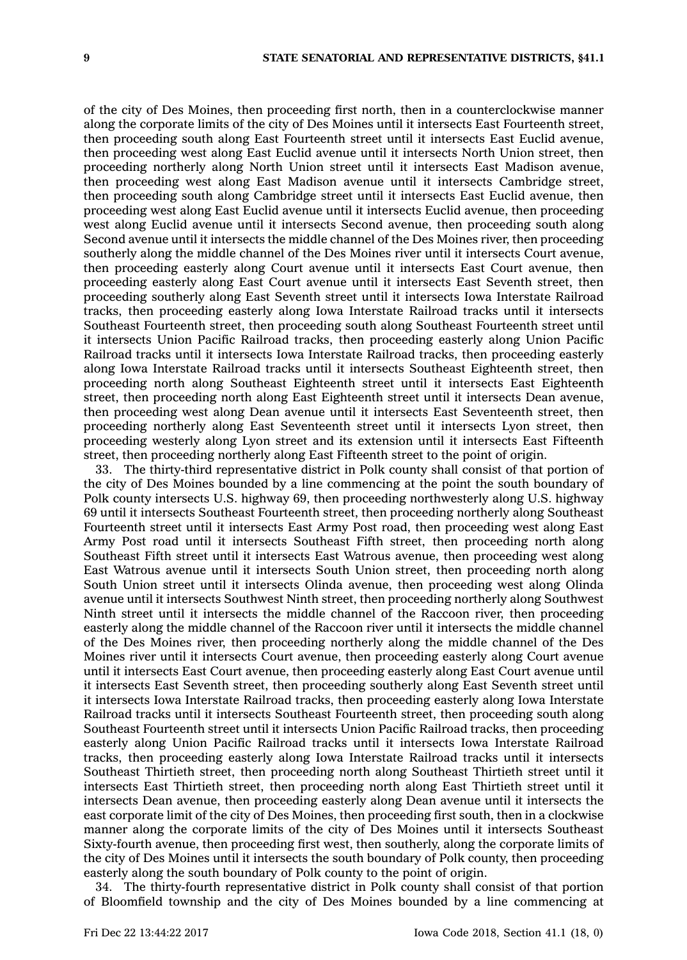of the city of Des Moines, then proceeding first north, then in <sup>a</sup> counterclockwise manner along the corporate limits of the city of Des Moines until it intersects East Fourteenth street, then proceeding south along East Fourteenth street until it intersects East Euclid avenue, then proceeding west along East Euclid avenue until it intersects North Union street, then proceeding northerly along North Union street until it intersects East Madison avenue, then proceeding west along East Madison avenue until it intersects Cambridge street, then proceeding south along Cambridge street until it intersects East Euclid avenue, then proceeding west along East Euclid avenue until it intersects Euclid avenue, then proceeding west along Euclid avenue until it intersects Second avenue, then proceeding south along Second avenue until it intersects the middle channel of the Des Moines river, then proceeding southerly along the middle channel of the Des Moines river until it intersects Court avenue, then proceeding easterly along Court avenue until it intersects East Court avenue, then proceeding easterly along East Court avenue until it intersects East Seventh street, then proceeding southerly along East Seventh street until it intersects Iowa Interstate Railroad tracks, then proceeding easterly along Iowa Interstate Railroad tracks until it intersects Southeast Fourteenth street, then proceeding south along Southeast Fourteenth street until it intersects Union Pacific Railroad tracks, then proceeding easterly along Union Pacific Railroad tracks until it intersects Iowa Interstate Railroad tracks, then proceeding easterly along Iowa Interstate Railroad tracks until it intersects Southeast Eighteenth street, then proceeding north along Southeast Eighteenth street until it intersects East Eighteenth street, then proceeding north along East Eighteenth street until it intersects Dean avenue, then proceeding west along Dean avenue until it intersects East Seventeenth street, then proceeding northerly along East Seventeenth street until it intersects Lyon street, then proceeding westerly along Lyon street and its extension until it intersects East Fifteenth street, then proceeding northerly along East Fifteenth street to the point of origin.

33. The thirty-third representative district in Polk county shall consist of that portion of the city of Des Moines bounded by <sup>a</sup> line commencing at the point the south boundary of Polk county intersects U.S. highway 69, then proceeding northwesterly along U.S. highway 69 until it intersects Southeast Fourteenth street, then proceeding northerly along Southeast Fourteenth street until it intersects East Army Post road, then proceeding west along East Army Post road until it intersects Southeast Fifth street, then proceeding north along Southeast Fifth street until it intersects East Watrous avenue, then proceeding west along East Watrous avenue until it intersects South Union street, then proceeding north along South Union street until it intersects Olinda avenue, then proceeding west along Olinda avenue until it intersects Southwest Ninth street, then proceeding northerly along Southwest Ninth street until it intersects the middle channel of the Raccoon river, then proceeding easterly along the middle channel of the Raccoon river until it intersects the middle channel of the Des Moines river, then proceeding northerly along the middle channel of the Des Moines river until it intersects Court avenue, then proceeding easterly along Court avenue until it intersects East Court avenue, then proceeding easterly along East Court avenue until it intersects East Seventh street, then proceeding southerly along East Seventh street until it intersects Iowa Interstate Railroad tracks, then proceeding easterly along Iowa Interstate Railroad tracks until it intersects Southeast Fourteenth street, then proceeding south along Southeast Fourteenth street until it intersects Union Pacific Railroad tracks, then proceeding easterly along Union Pacific Railroad tracks until it intersects Iowa Interstate Railroad tracks, then proceeding easterly along Iowa Interstate Railroad tracks until it intersects Southeast Thirtieth street, then proceeding north along Southeast Thirtieth street until it intersects East Thirtieth street, then proceeding north along East Thirtieth street until it intersects Dean avenue, then proceeding easterly along Dean avenue until it intersects the east corporate limit of the city of Des Moines, then proceeding first south, then in <sup>a</sup> clockwise manner along the corporate limits of the city of Des Moines until it intersects Southeast Sixty-fourth avenue, then proceeding first west, then southerly, along the corporate limits of the city of Des Moines until it intersects the south boundary of Polk county, then proceeding easterly along the south boundary of Polk county to the point of origin.

34. The thirty-fourth representative district in Polk county shall consist of that portion of Bloomfield township and the city of Des Moines bounded by <sup>a</sup> line commencing at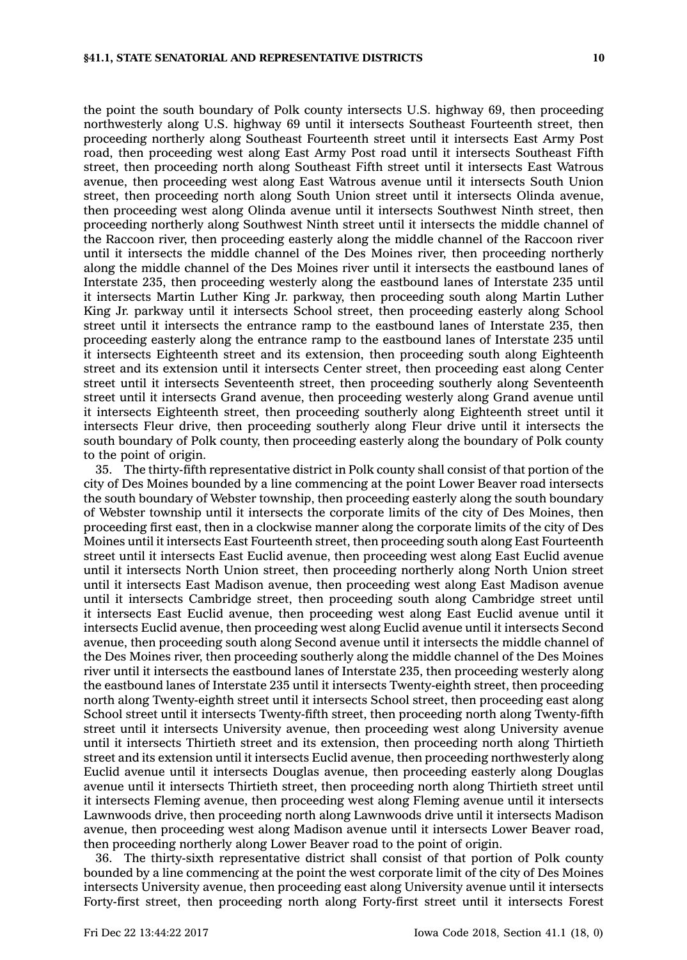the point the south boundary of Polk county intersects U.S. highway 69, then proceeding northwesterly along U.S. highway 69 until it intersects Southeast Fourteenth street, then proceeding northerly along Southeast Fourteenth street until it intersects East Army Post road, then proceeding west along East Army Post road until it intersects Southeast Fifth street, then proceeding north along Southeast Fifth street until it intersects East Watrous avenue, then proceeding west along East Watrous avenue until it intersects South Union street, then proceeding north along South Union street until it intersects Olinda avenue, then proceeding west along Olinda avenue until it intersects Southwest Ninth street, then proceeding northerly along Southwest Ninth street until it intersects the middle channel of the Raccoon river, then proceeding easterly along the middle channel of the Raccoon river until it intersects the middle channel of the Des Moines river, then proceeding northerly along the middle channel of the Des Moines river until it intersects the eastbound lanes of Interstate 235, then proceeding westerly along the eastbound lanes of Interstate 235 until it intersects Martin Luther King Jr. parkway, then proceeding south along Martin Luther King Jr. parkway until it intersects School street, then proceeding easterly along School street until it intersects the entrance ramp to the eastbound lanes of Interstate 235, then proceeding easterly along the entrance ramp to the eastbound lanes of Interstate 235 until it intersects Eighteenth street and its extension, then proceeding south along Eighteenth street and its extension until it intersects Center street, then proceeding east along Center street until it intersects Seventeenth street, then proceeding southerly along Seventeenth street until it intersects Grand avenue, then proceeding westerly along Grand avenue until it intersects Eighteenth street, then proceeding southerly along Eighteenth street until it intersects Fleur drive, then proceeding southerly along Fleur drive until it intersects the south boundary of Polk county, then proceeding easterly along the boundary of Polk county to the point of origin.

35. The thirty-fifth representative district in Polk county shall consist of that portion of the city of Des Moines bounded by <sup>a</sup> line commencing at the point Lower Beaver road intersects the south boundary of Webster township, then proceeding easterly along the south boundary of Webster township until it intersects the corporate limits of the city of Des Moines, then proceeding first east, then in <sup>a</sup> clockwise manner along the corporate limits of the city of Des Moines until it intersects East Fourteenth street, then proceeding south along East Fourteenth street until it intersects East Euclid avenue, then proceeding west along East Euclid avenue until it intersects North Union street, then proceeding northerly along North Union street until it intersects East Madison avenue, then proceeding west along East Madison avenue until it intersects Cambridge street, then proceeding south along Cambridge street until it intersects East Euclid avenue, then proceeding west along East Euclid avenue until it intersects Euclid avenue, then proceeding west along Euclid avenue until it intersects Second avenue, then proceeding south along Second avenue until it intersects the middle channel of the Des Moines river, then proceeding southerly along the middle channel of the Des Moines river until it intersects the eastbound lanes of Interstate 235, then proceeding westerly along the eastbound lanes of Interstate 235 until it intersects Twenty-eighth street, then proceeding north along Twenty-eighth street until it intersects School street, then proceeding east along School street until it intersects Twenty-fifth street, then proceeding north along Twenty-fifth street until it intersects University avenue, then proceeding west along University avenue until it intersects Thirtieth street and its extension, then proceeding north along Thirtieth street and its extension until it intersects Euclid avenue, then proceeding northwesterly along Euclid avenue until it intersects Douglas avenue, then proceeding easterly along Douglas avenue until it intersects Thirtieth street, then proceeding north along Thirtieth street until it intersects Fleming avenue, then proceeding west along Fleming avenue until it intersects Lawnwoods drive, then proceeding north along Lawnwoods drive until it intersects Madison avenue, then proceeding west along Madison avenue until it intersects Lower Beaver road, then proceeding northerly along Lower Beaver road to the point of origin.

36. The thirty-sixth representative district shall consist of that portion of Polk county bounded by <sup>a</sup> line commencing at the point the west corporate limit of the city of Des Moines intersects University avenue, then proceeding east along University avenue until it intersects Forty-first street, then proceeding north along Forty-first street until it intersects Forest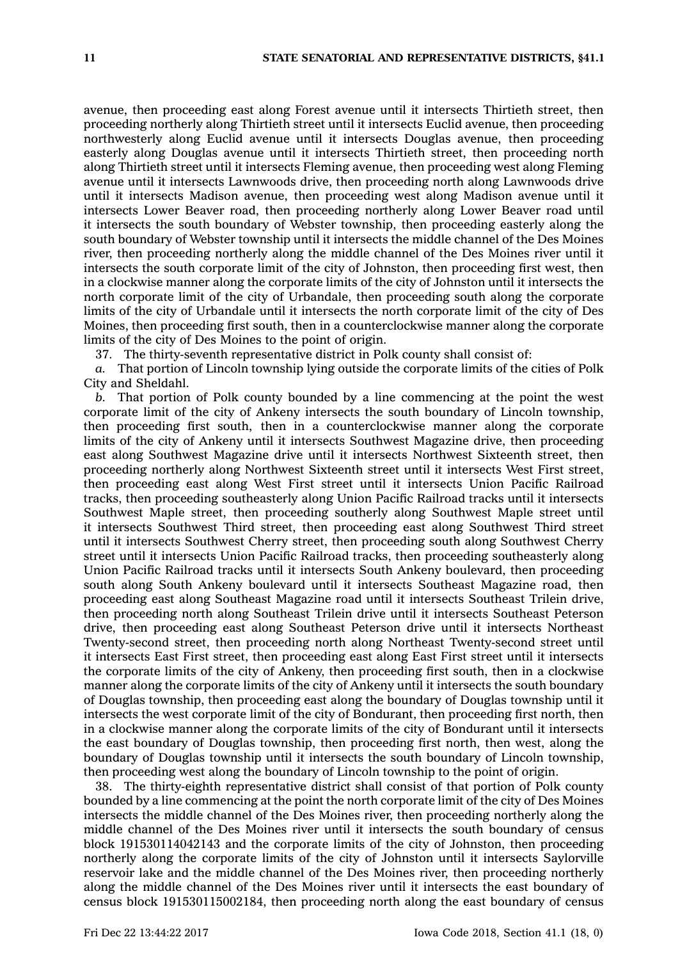avenue, then proceeding east along Forest avenue until it intersects Thirtieth street, then proceeding northerly along Thirtieth street until it intersects Euclid avenue, then proceeding northwesterly along Euclid avenue until it intersects Douglas avenue, then proceeding easterly along Douglas avenue until it intersects Thirtieth street, then proceeding north along Thirtieth street until it intersects Fleming avenue, then proceeding west along Fleming avenue until it intersects Lawnwoods drive, then proceeding north along Lawnwoods drive until it intersects Madison avenue, then proceeding west along Madison avenue until it intersects Lower Beaver road, then proceeding northerly along Lower Beaver road until it intersects the south boundary of Webster township, then proceeding easterly along the south boundary of Webster township until it intersects the middle channel of the Des Moines river, then proceeding northerly along the middle channel of the Des Moines river until it intersects the south corporate limit of the city of Johnston, then proceeding first west, then in <sup>a</sup> clockwise manner along the corporate limits of the city of Johnston until it intersects the north corporate limit of the city of Urbandale, then proceeding south along the corporate limits of the city of Urbandale until it intersects the north corporate limit of the city of Des Moines, then proceeding first south, then in <sup>a</sup> counterclockwise manner along the corporate limits of the city of Des Moines to the point of origin.

37. The thirty-seventh representative district in Polk county shall consist of:

*a.* That portion of Lincoln township lying outside the corporate limits of the cities of Polk City and Sheldahl.

*b.* That portion of Polk county bounded by <sup>a</sup> line commencing at the point the west corporate limit of the city of Ankeny intersects the south boundary of Lincoln township, then proceeding first south, then in <sup>a</sup> counterclockwise manner along the corporate limits of the city of Ankeny until it intersects Southwest Magazine drive, then proceeding east along Southwest Magazine drive until it intersects Northwest Sixteenth street, then proceeding northerly along Northwest Sixteenth street until it intersects West First street, then proceeding east along West First street until it intersects Union Pacific Railroad tracks, then proceeding southeasterly along Union Pacific Railroad tracks until it intersects Southwest Maple street, then proceeding southerly along Southwest Maple street until it intersects Southwest Third street, then proceeding east along Southwest Third street until it intersects Southwest Cherry street, then proceeding south along Southwest Cherry street until it intersects Union Pacific Railroad tracks, then proceeding southeasterly along Union Pacific Railroad tracks until it intersects South Ankeny boulevard, then proceeding south along South Ankeny boulevard until it intersects Southeast Magazine road, then proceeding east along Southeast Magazine road until it intersects Southeast Trilein drive, then proceeding north along Southeast Trilein drive until it intersects Southeast Peterson drive, then proceeding east along Southeast Peterson drive until it intersects Northeast Twenty-second street, then proceeding north along Northeast Twenty-second street until it intersects East First street, then proceeding east along East First street until it intersects the corporate limits of the city of Ankeny, then proceeding first south, then in <sup>a</sup> clockwise manner along the corporate limits of the city of Ankeny until it intersects the south boundary of Douglas township, then proceeding east along the boundary of Douglas township until it intersects the west corporate limit of the city of Bondurant, then proceeding first north, then in <sup>a</sup> clockwise manner along the corporate limits of the city of Bondurant until it intersects the east boundary of Douglas township, then proceeding first north, then west, along the boundary of Douglas township until it intersects the south boundary of Lincoln township, then proceeding west along the boundary of Lincoln township to the point of origin.

38. The thirty-eighth representative district shall consist of that portion of Polk county bounded by <sup>a</sup> line commencing at the point the north corporate limit of the city of Des Moines intersects the middle channel of the Des Moines river, then proceeding northerly along the middle channel of the Des Moines river until it intersects the south boundary of census block 191530114042143 and the corporate limits of the city of Johnston, then proceeding northerly along the corporate limits of the city of Johnston until it intersects Saylorville reservoir lake and the middle channel of the Des Moines river, then proceeding northerly along the middle channel of the Des Moines river until it intersects the east boundary of census block 191530115002184, then proceeding north along the east boundary of census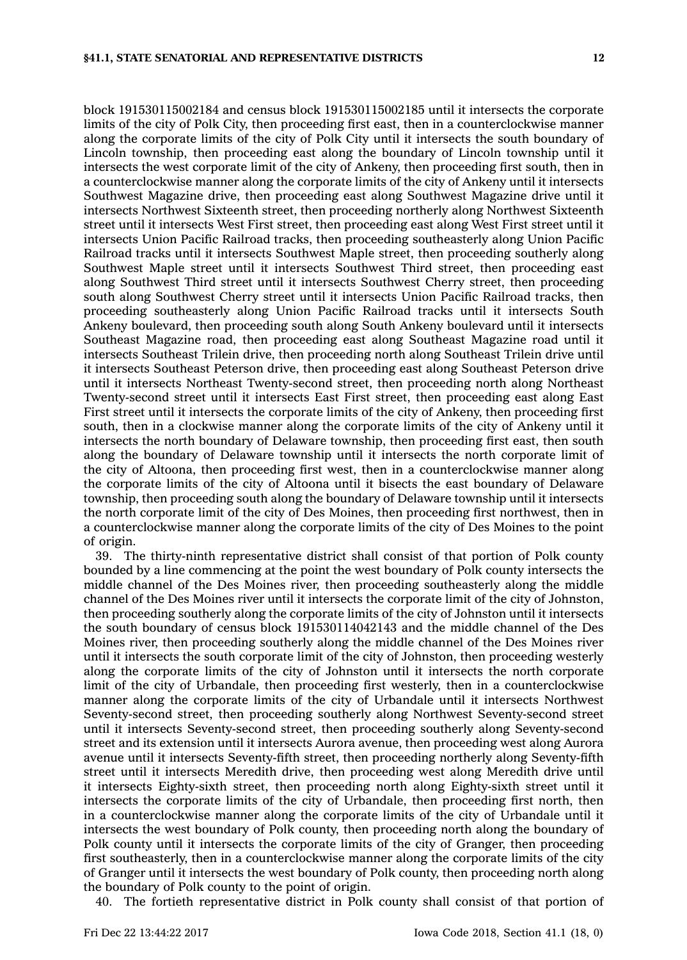block 191530115002184 and census block 191530115002185 until it intersects the corporate limits of the city of Polk City, then proceeding first east, then in <sup>a</sup> counterclockwise manner along the corporate limits of the city of Polk City until it intersects the south boundary of Lincoln township, then proceeding east along the boundary of Lincoln township until it intersects the west corporate limit of the city of Ankeny, then proceeding first south, then in <sup>a</sup> counterclockwise manner along the corporate limits of the city of Ankeny until it intersects Southwest Magazine drive, then proceeding east along Southwest Magazine drive until it intersects Northwest Sixteenth street, then proceeding northerly along Northwest Sixteenth street until it intersects West First street, then proceeding east along West First street until it intersects Union Pacific Railroad tracks, then proceeding southeasterly along Union Pacific Railroad tracks until it intersects Southwest Maple street, then proceeding southerly along Southwest Maple street until it intersects Southwest Third street, then proceeding east along Southwest Third street until it intersects Southwest Cherry street, then proceeding south along Southwest Cherry street until it intersects Union Pacific Railroad tracks, then proceeding southeasterly along Union Pacific Railroad tracks until it intersects South Ankeny boulevard, then proceeding south along South Ankeny boulevard until it intersects Southeast Magazine road, then proceeding east along Southeast Magazine road until it intersects Southeast Trilein drive, then proceeding north along Southeast Trilein drive until it intersects Southeast Peterson drive, then proceeding east along Southeast Peterson drive until it intersects Northeast Twenty-second street, then proceeding north along Northeast Twenty-second street until it intersects East First street, then proceeding east along East First street until it intersects the corporate limits of the city of Ankeny, then proceeding first south, then in <sup>a</sup> clockwise manner along the corporate limits of the city of Ankeny until it intersects the north boundary of Delaware township, then proceeding first east, then south along the boundary of Delaware township until it intersects the north corporate limit of the city of Altoona, then proceeding first west, then in <sup>a</sup> counterclockwise manner along the corporate limits of the city of Altoona until it bisects the east boundary of Delaware township, then proceeding south along the boundary of Delaware township until it intersects the north corporate limit of the city of Des Moines, then proceeding first northwest, then in <sup>a</sup> counterclockwise manner along the corporate limits of the city of Des Moines to the point of origin.

39. The thirty-ninth representative district shall consist of that portion of Polk county bounded by <sup>a</sup> line commencing at the point the west boundary of Polk county intersects the middle channel of the Des Moines river, then proceeding southeasterly along the middle channel of the Des Moines river until it intersects the corporate limit of the city of Johnston, then proceeding southerly along the corporate limits of the city of Johnston until it intersects the south boundary of census block 191530114042143 and the middle channel of the Des Moines river, then proceeding southerly along the middle channel of the Des Moines river until it intersects the south corporate limit of the city of Johnston, then proceeding westerly along the corporate limits of the city of Johnston until it intersects the north corporate limit of the city of Urbandale, then proceeding first westerly, then in <sup>a</sup> counterclockwise manner along the corporate limits of the city of Urbandale until it intersects Northwest Seventy-second street, then proceeding southerly along Northwest Seventy-second street until it intersects Seventy-second street, then proceeding southerly along Seventy-second street and its extension until it intersects Aurora avenue, then proceeding west along Aurora avenue until it intersects Seventy-fifth street, then proceeding northerly along Seventy-fifth street until it intersects Meredith drive, then proceeding west along Meredith drive until it intersects Eighty-sixth street, then proceeding north along Eighty-sixth street until it intersects the corporate limits of the city of Urbandale, then proceeding first north, then in <sup>a</sup> counterclockwise manner along the corporate limits of the city of Urbandale until it intersects the west boundary of Polk county, then proceeding north along the boundary of Polk county until it intersects the corporate limits of the city of Granger, then proceeding first southeasterly, then in <sup>a</sup> counterclockwise manner along the corporate limits of the city of Granger until it intersects the west boundary of Polk county, then proceeding north along the boundary of Polk county to the point of origin.

40. The fortieth representative district in Polk county shall consist of that portion of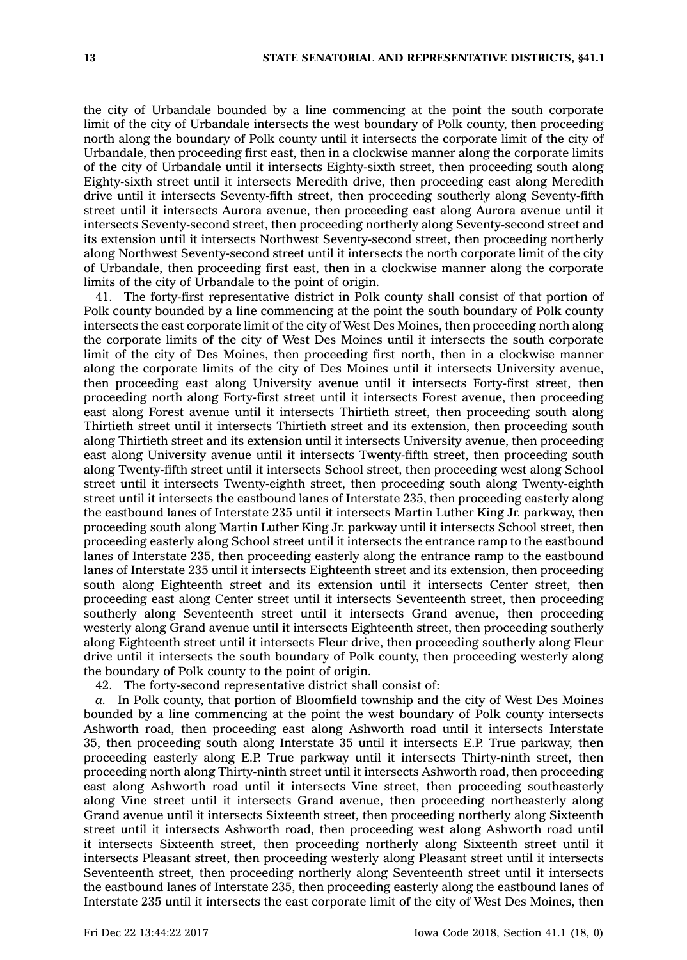the city of Urbandale bounded by <sup>a</sup> line commencing at the point the south corporate limit of the city of Urbandale intersects the west boundary of Polk county, then proceeding north along the boundary of Polk county until it intersects the corporate limit of the city of Urbandale, then proceeding first east, then in <sup>a</sup> clockwise manner along the corporate limits of the city of Urbandale until it intersects Eighty-sixth street, then proceeding south along Eighty-sixth street until it intersects Meredith drive, then proceeding east along Meredith drive until it intersects Seventy-fifth street, then proceeding southerly along Seventy-fifth street until it intersects Aurora avenue, then proceeding east along Aurora avenue until it intersects Seventy-second street, then proceeding northerly along Seventy-second street and its extension until it intersects Northwest Seventy-second street, then proceeding northerly along Northwest Seventy-second street until it intersects the north corporate limit of the city of Urbandale, then proceeding first east, then in <sup>a</sup> clockwise manner along the corporate limits of the city of Urbandale to the point of origin.

41. The forty-first representative district in Polk county shall consist of that portion of Polk county bounded by <sup>a</sup> line commencing at the point the south boundary of Polk county intersects the east corporate limit of the city of West Des Moines, then proceeding north along the corporate limits of the city of West Des Moines until it intersects the south corporate limit of the city of Des Moines, then proceeding first north, then in <sup>a</sup> clockwise manner along the corporate limits of the city of Des Moines until it intersects University avenue, then proceeding east along University avenue until it intersects Forty-first street, then proceeding north along Forty-first street until it intersects Forest avenue, then proceeding east along Forest avenue until it intersects Thirtieth street, then proceeding south along Thirtieth street until it intersects Thirtieth street and its extension, then proceeding south along Thirtieth street and its extension until it intersects University avenue, then proceeding east along University avenue until it intersects Twenty-fifth street, then proceeding south along Twenty-fifth street until it intersects School street, then proceeding west along School street until it intersects Twenty-eighth street, then proceeding south along Twenty-eighth street until it intersects the eastbound lanes of Interstate 235, then proceeding easterly along the eastbound lanes of Interstate 235 until it intersects Martin Luther King Jr. parkway, then proceeding south along Martin Luther King Jr. parkway until it intersects School street, then proceeding easterly along School street until it intersects the entrance ramp to the eastbound lanes of Interstate 235, then proceeding easterly along the entrance ramp to the eastbound lanes of Interstate 235 until it intersects Eighteenth street and its extension, then proceeding south along Eighteenth street and its extension until it intersects Center street, then proceeding east along Center street until it intersects Seventeenth street, then proceeding southerly along Seventeenth street until it intersects Grand avenue, then proceeding westerly along Grand avenue until it intersects Eighteenth street, then proceeding southerly along Eighteenth street until it intersects Fleur drive, then proceeding southerly along Fleur drive until it intersects the south boundary of Polk county, then proceeding westerly along the boundary of Polk county to the point of origin.

42. The forty-second representative district shall consist of:

*a.* In Polk county, that portion of Bloomfield township and the city of West Des Moines bounded by <sup>a</sup> line commencing at the point the west boundary of Polk county intersects Ashworth road, then proceeding east along Ashworth road until it intersects Interstate 35, then proceeding south along Interstate 35 until it intersects E.P. True parkway, then proceeding easterly along E.P. True parkway until it intersects Thirty-ninth street, then proceeding north along Thirty-ninth street until it intersects Ashworth road, then proceeding east along Ashworth road until it intersects Vine street, then proceeding southeasterly along Vine street until it intersects Grand avenue, then proceeding northeasterly along Grand avenue until it intersects Sixteenth street, then proceeding northerly along Sixteenth street until it intersects Ashworth road, then proceeding west along Ashworth road until it intersects Sixteenth street, then proceeding northerly along Sixteenth street until it intersects Pleasant street, then proceeding westerly along Pleasant street until it intersects Seventeenth street, then proceeding northerly along Seventeenth street until it intersects the eastbound lanes of Interstate 235, then proceeding easterly along the eastbound lanes of Interstate 235 until it intersects the east corporate limit of the city of West Des Moines, then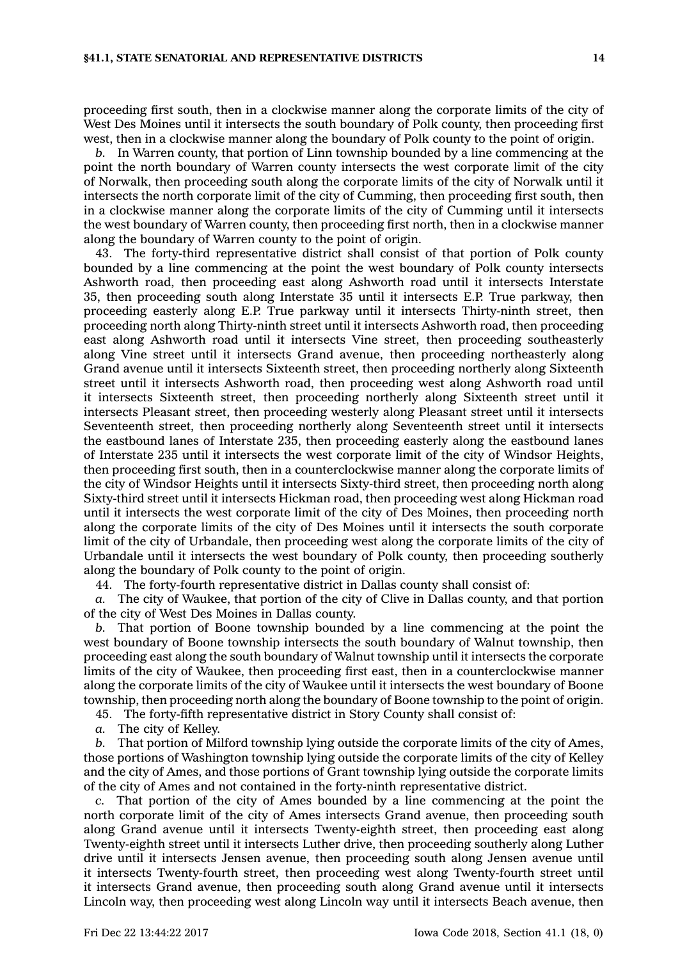proceeding first south, then in <sup>a</sup> clockwise manner along the corporate limits of the city of West Des Moines until it intersects the south boundary of Polk county, then proceeding first west, then in <sup>a</sup> clockwise manner along the boundary of Polk county to the point of origin.

*b.* In Warren county, that portion of Linn township bounded by <sup>a</sup> line commencing at the point the north boundary of Warren county intersects the west corporate limit of the city of Norwalk, then proceeding south along the corporate limits of the city of Norwalk until it intersects the north corporate limit of the city of Cumming, then proceeding first south, then in <sup>a</sup> clockwise manner along the corporate limits of the city of Cumming until it intersects the west boundary of Warren county, then proceeding first north, then in <sup>a</sup> clockwise manner along the boundary of Warren county to the point of origin.

43. The forty-third representative district shall consist of that portion of Polk county bounded by <sup>a</sup> line commencing at the point the west boundary of Polk county intersects Ashworth road, then proceeding east along Ashworth road until it intersects Interstate 35, then proceeding south along Interstate 35 until it intersects E.P. True parkway, then proceeding easterly along E.P. True parkway until it intersects Thirty-ninth street, then proceeding north along Thirty-ninth street until it intersects Ashworth road, then proceeding east along Ashworth road until it intersects Vine street, then proceeding southeasterly along Vine street until it intersects Grand avenue, then proceeding northeasterly along Grand avenue until it intersects Sixteenth street, then proceeding northerly along Sixteenth street until it intersects Ashworth road, then proceeding west along Ashworth road until it intersects Sixteenth street, then proceeding northerly along Sixteenth street until it intersects Pleasant street, then proceeding westerly along Pleasant street until it intersects Seventeenth street, then proceeding northerly along Seventeenth street until it intersects the eastbound lanes of Interstate 235, then proceeding easterly along the eastbound lanes of Interstate 235 until it intersects the west corporate limit of the city of Windsor Heights, then proceeding first south, then in <sup>a</sup> counterclockwise manner along the corporate limits of the city of Windsor Heights until it intersects Sixty-third street, then proceeding north along Sixty-third street until it intersects Hickman road, then proceeding west along Hickman road until it intersects the west corporate limit of the city of Des Moines, then proceeding north along the corporate limits of the city of Des Moines until it intersects the south corporate limit of the city of Urbandale, then proceeding west along the corporate limits of the city of Urbandale until it intersects the west boundary of Polk county, then proceeding southerly along the boundary of Polk county to the point of origin.

44. The forty-fourth representative district in Dallas county shall consist of:

*a.* The city of Waukee, that portion of the city of Clive in Dallas county, and that portion of the city of West Des Moines in Dallas county.

*b.* That portion of Boone township bounded by <sup>a</sup> line commencing at the point the west boundary of Boone township intersects the south boundary of Walnut township, then proceeding east along the south boundary of Walnut township until it intersects the corporate limits of the city of Waukee, then proceeding first east, then in <sup>a</sup> counterclockwise manner along the corporate limits of the city of Waukee until it intersects the west boundary of Boone township, then proceeding north along the boundary of Boone township to the point of origin.

45. The forty-fifth representative district in Story County shall consist of:

*a.* The city of Kelley.

*b.* That portion of Milford township lying outside the corporate limits of the city of Ames, those portions of Washington township lying outside the corporate limits of the city of Kelley and the city of Ames, and those portions of Grant township lying outside the corporate limits of the city of Ames and not contained in the forty-ninth representative district.

*c.* That portion of the city of Ames bounded by <sup>a</sup> line commencing at the point the north corporate limit of the city of Ames intersects Grand avenue, then proceeding south along Grand avenue until it intersects Twenty-eighth street, then proceeding east along Twenty-eighth street until it intersects Luther drive, then proceeding southerly along Luther drive until it intersects Jensen avenue, then proceeding south along Jensen avenue until it intersects Twenty-fourth street, then proceeding west along Twenty-fourth street until it intersects Grand avenue, then proceeding south along Grand avenue until it intersects Lincoln way, then proceeding west along Lincoln way until it intersects Beach avenue, then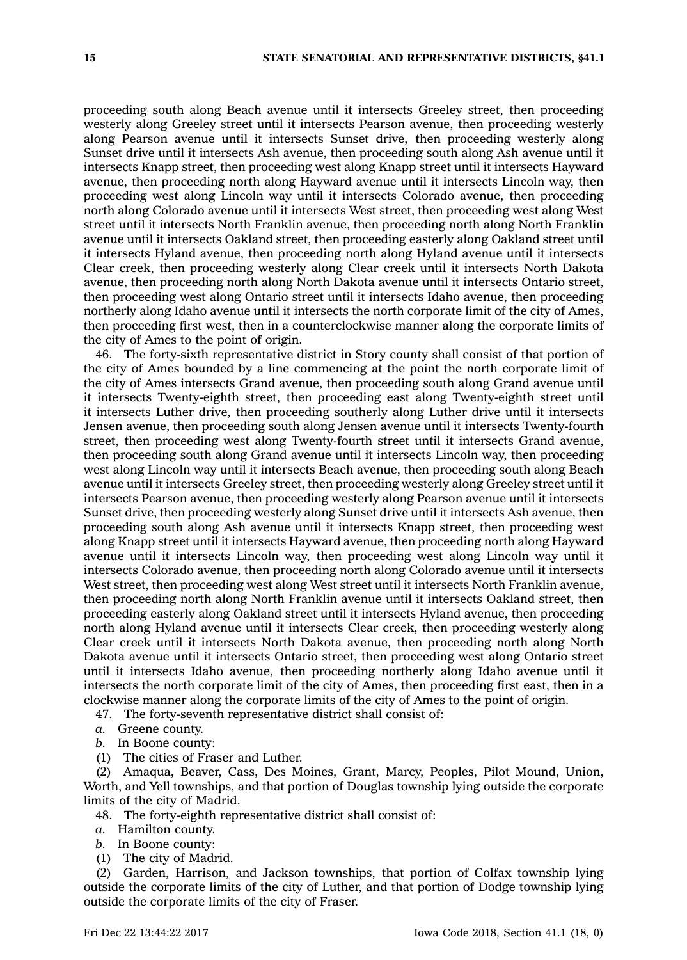proceeding south along Beach avenue until it intersects Greeley street, then proceeding westerly along Greeley street until it intersects Pearson avenue, then proceeding westerly along Pearson avenue until it intersects Sunset drive, then proceeding westerly along Sunset drive until it intersects Ash avenue, then proceeding south along Ash avenue until it intersects Knapp street, then proceeding west along Knapp street until it intersects Hayward avenue, then proceeding north along Hayward avenue until it intersects Lincoln way, then proceeding west along Lincoln way until it intersects Colorado avenue, then proceeding north along Colorado avenue until it intersects West street, then proceeding west along West street until it intersects North Franklin avenue, then proceeding north along North Franklin avenue until it intersects Oakland street, then proceeding easterly along Oakland street until it intersects Hyland avenue, then proceeding north along Hyland avenue until it intersects Clear creek, then proceeding westerly along Clear creek until it intersects North Dakota avenue, then proceeding north along North Dakota avenue until it intersects Ontario street, then proceeding west along Ontario street until it intersects Idaho avenue, then proceeding northerly along Idaho avenue until it intersects the north corporate limit of the city of Ames, then proceeding first west, then in <sup>a</sup> counterclockwise manner along the corporate limits of the city of Ames to the point of origin.

46. The forty-sixth representative district in Story county shall consist of that portion of the city of Ames bounded by <sup>a</sup> line commencing at the point the north corporate limit of the city of Ames intersects Grand avenue, then proceeding south along Grand avenue until it intersects Twenty-eighth street, then proceeding east along Twenty-eighth street until it intersects Luther drive, then proceeding southerly along Luther drive until it intersects Jensen avenue, then proceeding south along Jensen avenue until it intersects Twenty-fourth street, then proceeding west along Twenty-fourth street until it intersects Grand avenue, then proceeding south along Grand avenue until it intersects Lincoln way, then proceeding west along Lincoln way until it intersects Beach avenue, then proceeding south along Beach avenue until it intersects Greeley street, then proceeding westerly along Greeley street until it intersects Pearson avenue, then proceeding westerly along Pearson avenue until it intersects Sunset drive, then proceeding westerly along Sunset drive until it intersects Ash avenue, then proceeding south along Ash avenue until it intersects Knapp street, then proceeding west along Knapp street until it intersects Hayward avenue, then proceeding north along Hayward avenue until it intersects Lincoln way, then proceeding west along Lincoln way until it intersects Colorado avenue, then proceeding north along Colorado avenue until it intersects West street, then proceeding west along West street until it intersects North Franklin avenue, then proceeding north along North Franklin avenue until it intersects Oakland street, then proceeding easterly along Oakland street until it intersects Hyland avenue, then proceeding north along Hyland avenue until it intersects Clear creek, then proceeding westerly along Clear creek until it intersects North Dakota avenue, then proceeding north along North Dakota avenue until it intersects Ontario street, then proceeding west along Ontario street until it intersects Idaho avenue, then proceeding northerly along Idaho avenue until it intersects the north corporate limit of the city of Ames, then proceeding first east, then in <sup>a</sup> clockwise manner along the corporate limits of the city of Ames to the point of origin.

47. The forty-seventh representative district shall consist of:

- *a.* Greene county.
- *b.* In Boone county:
- (1) The cities of Fraser and Luther.

(2) Amaqua, Beaver, Cass, Des Moines, Grant, Marcy, Peoples, Pilot Mound, Union, Worth, and Yell townships, and that portion of Douglas township lying outside the corporate limits of the city of Madrid.

48. The forty-eighth representative district shall consist of:

- *a.* Hamilton county.
- *b.* In Boone county:
- (1) The city of Madrid.

(2) Garden, Harrison, and Jackson townships, that portion of Colfax township lying outside the corporate limits of the city of Luther, and that portion of Dodge township lying outside the corporate limits of the city of Fraser.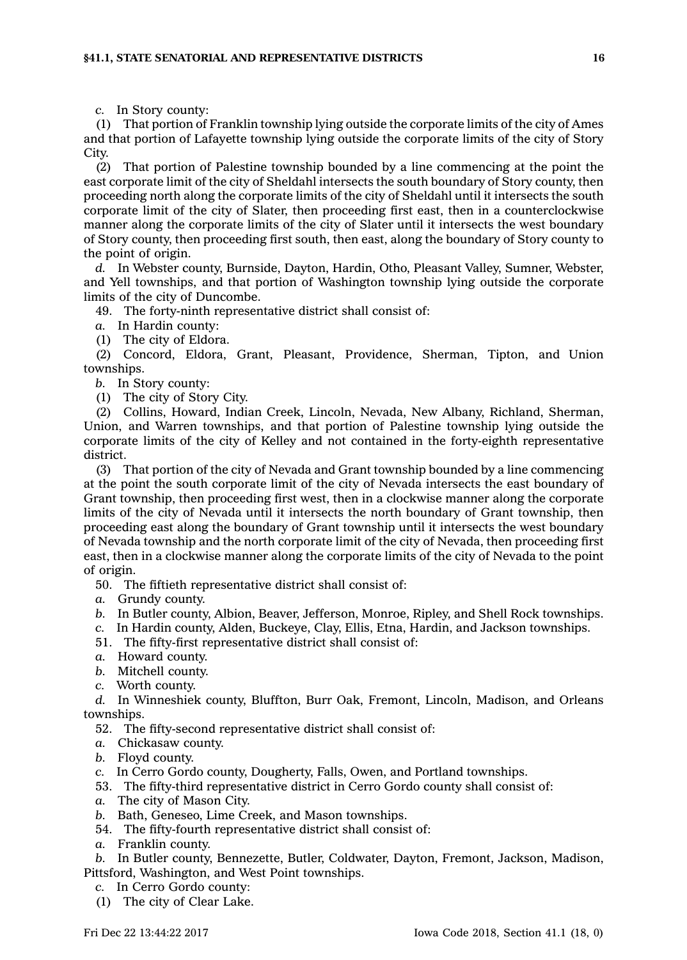*c.* In Story county:

(1) That portion of Franklin township lying outside the corporate limits of the city of Ames and that portion of Lafayette township lying outside the corporate limits of the city of Story City.

(2) That portion of Palestine township bounded by <sup>a</sup> line commencing at the point the east corporate limit of the city of Sheldahl intersects the south boundary of Story county, then proceeding north along the corporate limits of the city of Sheldahl until it intersects the south corporate limit of the city of Slater, then proceeding first east, then in <sup>a</sup> counterclockwise manner along the corporate limits of the city of Slater until it intersects the west boundary of Story county, then proceeding first south, then east, along the boundary of Story county to the point of origin.

*d.* In Webster county, Burnside, Dayton, Hardin, Otho, Pleasant Valley, Sumner, Webster, and Yell townships, and that portion of Washington township lying outside the corporate limits of the city of Duncombe.

49. The forty-ninth representative district shall consist of:

*a.* In Hardin county:

(1) The city of Eldora.

(2) Concord, Eldora, Grant, Pleasant, Providence, Sherman, Tipton, and Union townships.

*b.* In Story county:

(1) The city of Story City.

(2) Collins, Howard, Indian Creek, Lincoln, Nevada, New Albany, Richland, Sherman, Union, and Warren townships, and that portion of Palestine township lying outside the corporate limits of the city of Kelley and not contained in the forty-eighth representative district.

(3) That portion of the city of Nevada and Grant township bounded by <sup>a</sup> line commencing at the point the south corporate limit of the city of Nevada intersects the east boundary of Grant township, then proceeding first west, then in <sup>a</sup> clockwise manner along the corporate limits of the city of Nevada until it intersects the north boundary of Grant township, then proceeding east along the boundary of Grant township until it intersects the west boundary of Nevada township and the north corporate limit of the city of Nevada, then proceeding first east, then in <sup>a</sup> clockwise manner along the corporate limits of the city of Nevada to the point of origin.

50. The fiftieth representative district shall consist of:

- *a.* Grundy county.
- *b.* In Butler county, Albion, Beaver, Jefferson, Monroe, Ripley, and Shell Rock townships.
- *c.* In Hardin county, Alden, Buckeye, Clay, Ellis, Etna, Hardin, and Jackson townships.
- 51. The fifty-first representative district shall consist of:
- *a.* Howard county.
- *b.* Mitchell county.
- *c.* Worth county.

*d.* In Winneshiek county, Bluffton, Burr Oak, Fremont, Lincoln, Madison, and Orleans townships.

- 52. The fifty-second representative district shall consist of:
- *a.* Chickasaw county.
- *b.* Floyd county.
- *c.* In Cerro Gordo county, Dougherty, Falls, Owen, and Portland townships.
- 53. The fifty-third representative district in Cerro Gordo county shall consist of:
- *a.* The city of Mason City.
- *b.* Bath, Geneseo, Lime Creek, and Mason townships.
- 54. The fifty-fourth representative district shall consist of:
- *a.* Franklin county.

*b.* In Butler county, Bennezette, Butler, Coldwater, Dayton, Fremont, Jackson, Madison, Pittsford, Washington, and West Point townships.

- *c.* In Cerro Gordo county:
- (1) The city of Clear Lake.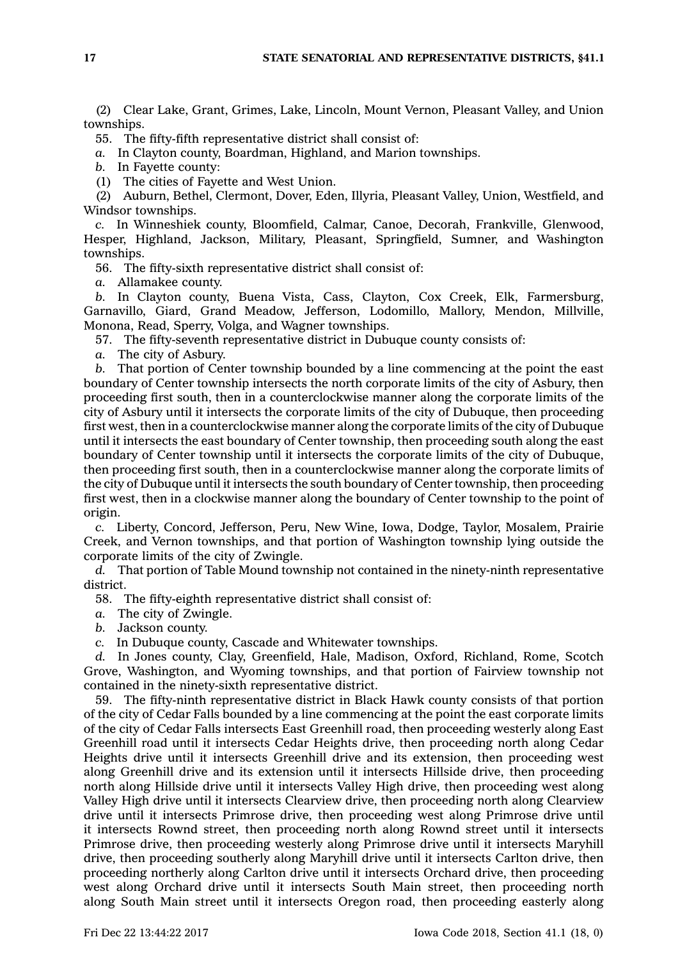(2) Clear Lake, Grant, Grimes, Lake, Lincoln, Mount Vernon, Pleasant Valley, and Union townships.

55. The fifty-fifth representative district shall consist of:

*a.* In Clayton county, Boardman, Highland, and Marion townships.

*b.* In Fayette county:

(1) The cities of Fayette and West Union.

(2) Auburn, Bethel, Clermont, Dover, Eden, Illyria, Pleasant Valley, Union, Westfield, and Windsor townships.

*c.* In Winneshiek county, Bloomfield, Calmar, Canoe, Decorah, Frankville, Glenwood, Hesper, Highland, Jackson, Military, Pleasant, Springfield, Sumner, and Washington townships.

56. The fifty-sixth representative district shall consist of:

*a.* Allamakee county.

*b.* In Clayton county, Buena Vista, Cass, Clayton, Cox Creek, Elk, Farmersburg, Garnavillo, Giard, Grand Meadow, Jefferson, Lodomillo, Mallory, Mendon, Millville, Monona, Read, Sperry, Volga, and Wagner townships.

57. The fifty-seventh representative district in Dubuque county consists of:

*a.* The city of Asbury.

*b.* That portion of Center township bounded by <sup>a</sup> line commencing at the point the east boundary of Center township intersects the north corporate limits of the city of Asbury, then proceeding first south, then in <sup>a</sup> counterclockwise manner along the corporate limits of the city of Asbury until it intersects the corporate limits of the city of Dubuque, then proceeding first west, then in <sup>a</sup> counterclockwise manner along the corporate limits of the city of Dubuque until it intersects the east boundary of Center township, then proceeding south along the east boundary of Center township until it intersects the corporate limits of the city of Dubuque, then proceeding first south, then in <sup>a</sup> counterclockwise manner along the corporate limits of the city of Dubuque until it intersects the south boundary of Center township, then proceeding first west, then in <sup>a</sup> clockwise manner along the boundary of Center township to the point of origin.

*c.* Liberty, Concord, Jefferson, Peru, New Wine, Iowa, Dodge, Taylor, Mosalem, Prairie Creek, and Vernon townships, and that portion of Washington township lying outside the corporate limits of the city of Zwingle.

*d.* That portion of Table Mound township not contained in the ninety-ninth representative district.

58. The fifty-eighth representative district shall consist of:

*a.* The city of Zwingle.

*b.* Jackson county.

*c.* In Dubuque county, Cascade and Whitewater townships.

*d.* In Jones county, Clay, Greenfield, Hale, Madison, Oxford, Richland, Rome, Scotch Grove, Washington, and Wyoming townships, and that portion of Fairview township not contained in the ninety-sixth representative district.

59. The fifty-ninth representative district in Black Hawk county consists of that portion of the city of Cedar Falls bounded by <sup>a</sup> line commencing at the point the east corporate limits of the city of Cedar Falls intersects East Greenhill road, then proceeding westerly along East Greenhill road until it intersects Cedar Heights drive, then proceeding north along Cedar Heights drive until it intersects Greenhill drive and its extension, then proceeding west along Greenhill drive and its extension until it intersects Hillside drive, then proceeding north along Hillside drive until it intersects Valley High drive, then proceeding west along Valley High drive until it intersects Clearview drive, then proceeding north along Clearview drive until it intersects Primrose drive, then proceeding west along Primrose drive until it intersects Rownd street, then proceeding north along Rownd street until it intersects Primrose drive, then proceeding westerly along Primrose drive until it intersects Maryhill drive, then proceeding southerly along Maryhill drive until it intersects Carlton drive, then proceeding northerly along Carlton drive until it intersects Orchard drive, then proceeding west along Orchard drive until it intersects South Main street, then proceeding north along South Main street until it intersects Oregon road, then proceeding easterly along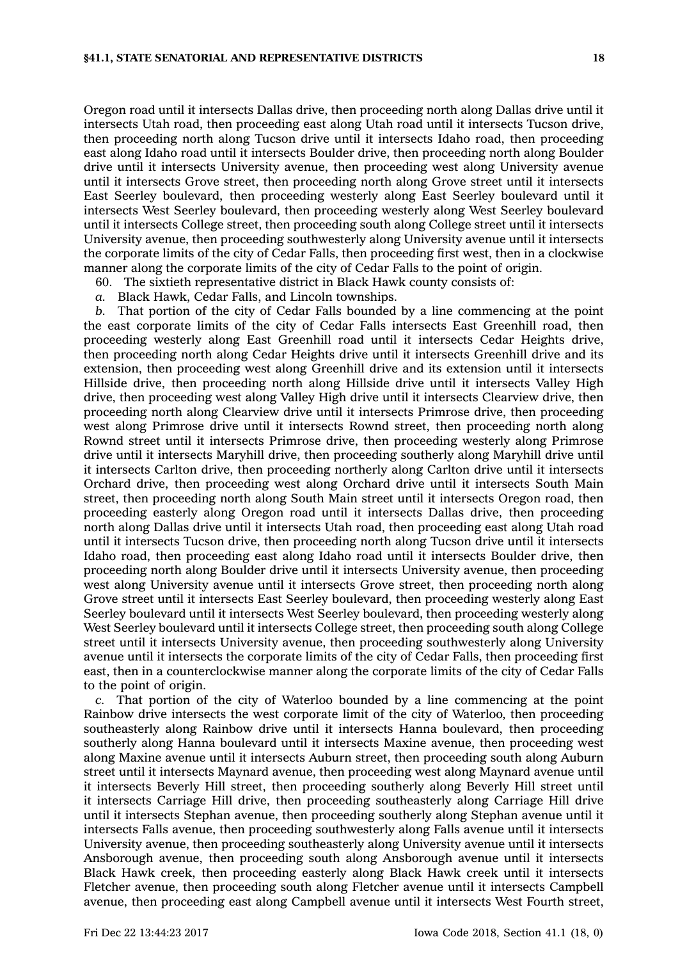Oregon road until it intersects Dallas drive, then proceeding north along Dallas drive until it intersects Utah road, then proceeding east along Utah road until it intersects Tucson drive, then proceeding north along Tucson drive until it intersects Idaho road, then proceeding east along Idaho road until it intersects Boulder drive, then proceeding north along Boulder drive until it intersects University avenue, then proceeding west along University avenue until it intersects Grove street, then proceeding north along Grove street until it intersects East Seerley boulevard, then proceeding westerly along East Seerley boulevard until it intersects West Seerley boulevard, then proceeding westerly along West Seerley boulevard until it intersects College street, then proceeding south along College street until it intersects University avenue, then proceeding southwesterly along University avenue until it intersects the corporate limits of the city of Cedar Falls, then proceeding first west, then in <sup>a</sup> clockwise manner along the corporate limits of the city of Cedar Falls to the point of origin.

60. The sixtieth representative district in Black Hawk county consists of:

*a.* Black Hawk, Cedar Falls, and Lincoln townships.

*b.* That portion of the city of Cedar Falls bounded by <sup>a</sup> line commencing at the point the east corporate limits of the city of Cedar Falls intersects East Greenhill road, then proceeding westerly along East Greenhill road until it intersects Cedar Heights drive, then proceeding north along Cedar Heights drive until it intersects Greenhill drive and its extension, then proceeding west along Greenhill drive and its extension until it intersects Hillside drive, then proceeding north along Hillside drive until it intersects Valley High drive, then proceeding west along Valley High drive until it intersects Clearview drive, then proceeding north along Clearview drive until it intersects Primrose drive, then proceeding west along Primrose drive until it intersects Rownd street, then proceeding north along Rownd street until it intersects Primrose drive, then proceeding westerly along Primrose drive until it intersects Maryhill drive, then proceeding southerly along Maryhill drive until it intersects Carlton drive, then proceeding northerly along Carlton drive until it intersects Orchard drive, then proceeding west along Orchard drive until it intersects South Main street, then proceeding north along South Main street until it intersects Oregon road, then proceeding easterly along Oregon road until it intersects Dallas drive, then proceeding north along Dallas drive until it intersects Utah road, then proceeding east along Utah road until it intersects Tucson drive, then proceeding north along Tucson drive until it intersects Idaho road, then proceeding east along Idaho road until it intersects Boulder drive, then proceeding north along Boulder drive until it intersects University avenue, then proceeding west along University avenue until it intersects Grove street, then proceeding north along Grove street until it intersects East Seerley boulevard, then proceeding westerly along East Seerley boulevard until it intersects West Seerley boulevard, then proceeding westerly along West Seerley boulevard until it intersects College street, then proceeding south along College street until it intersects University avenue, then proceeding southwesterly along University avenue until it intersects the corporate limits of the city of Cedar Falls, then proceeding first east, then in <sup>a</sup> counterclockwise manner along the corporate limits of the city of Cedar Falls to the point of origin.

*c.* That portion of the city of Waterloo bounded by <sup>a</sup> line commencing at the point Rainbow drive intersects the west corporate limit of the city of Waterloo, then proceeding southeasterly along Rainbow drive until it intersects Hanna boulevard, then proceeding southerly along Hanna boulevard until it intersects Maxine avenue, then proceeding west along Maxine avenue until it intersects Auburn street, then proceeding south along Auburn street until it intersects Maynard avenue, then proceeding west along Maynard avenue until it intersects Beverly Hill street, then proceeding southerly along Beverly Hill street until it intersects Carriage Hill drive, then proceeding southeasterly along Carriage Hill drive until it intersects Stephan avenue, then proceeding southerly along Stephan avenue until it intersects Falls avenue, then proceeding southwesterly along Falls avenue until it intersects University avenue, then proceeding southeasterly along University avenue until it intersects Ansborough avenue, then proceeding south along Ansborough avenue until it intersects Black Hawk creek, then proceeding easterly along Black Hawk creek until it intersects Fletcher avenue, then proceeding south along Fletcher avenue until it intersects Campbell avenue, then proceeding east along Campbell avenue until it intersects West Fourth street,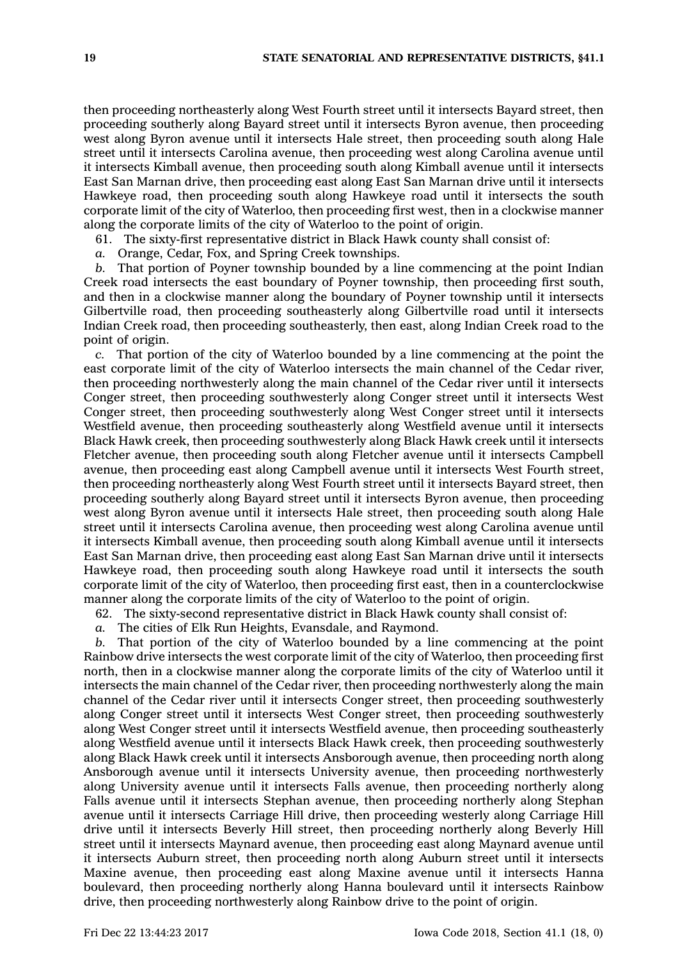then proceeding northeasterly along West Fourth street until it intersects Bayard street, then proceeding southerly along Bayard street until it intersects Byron avenue, then proceeding west along Byron avenue until it intersects Hale street, then proceeding south along Hale street until it intersects Carolina avenue, then proceeding west along Carolina avenue until it intersects Kimball avenue, then proceeding south along Kimball avenue until it intersects East San Marnan drive, then proceeding east along East San Marnan drive until it intersects Hawkeye road, then proceeding south along Hawkeye road until it intersects the south corporate limit of the city of Waterloo, then proceeding first west, then in <sup>a</sup> clockwise manner along the corporate limits of the city of Waterloo to the point of origin.

61. The sixty-first representative district in Black Hawk county shall consist of:

*a.* Orange, Cedar, Fox, and Spring Creek townships.

*b.* That portion of Poyner township bounded by <sup>a</sup> line commencing at the point Indian Creek road intersects the east boundary of Poyner township, then proceeding first south, and then in <sup>a</sup> clockwise manner along the boundary of Poyner township until it intersects Gilbertville road, then proceeding southeasterly along Gilbertville road until it intersects Indian Creek road, then proceeding southeasterly, then east, along Indian Creek road to the point of origin.

*c.* That portion of the city of Waterloo bounded by <sup>a</sup> line commencing at the point the east corporate limit of the city of Waterloo intersects the main channel of the Cedar river, then proceeding northwesterly along the main channel of the Cedar river until it intersects Conger street, then proceeding southwesterly along Conger street until it intersects West Conger street, then proceeding southwesterly along West Conger street until it intersects Westfield avenue, then proceeding southeasterly along Westfield avenue until it intersects Black Hawk creek, then proceeding southwesterly along Black Hawk creek until it intersects Fletcher avenue, then proceeding south along Fletcher avenue until it intersects Campbell avenue, then proceeding east along Campbell avenue until it intersects West Fourth street, then proceeding northeasterly along West Fourth street until it intersects Bayard street, then proceeding southerly along Bayard street until it intersects Byron avenue, then proceeding west along Byron avenue until it intersects Hale street, then proceeding south along Hale street until it intersects Carolina avenue, then proceeding west along Carolina avenue until it intersects Kimball avenue, then proceeding south along Kimball avenue until it intersects East San Marnan drive, then proceeding east along East San Marnan drive until it intersects Hawkeye road, then proceeding south along Hawkeye road until it intersects the south corporate limit of the city of Waterloo, then proceeding first east, then in <sup>a</sup> counterclockwise manner along the corporate limits of the city of Waterloo to the point of origin.

62. The sixty-second representative district in Black Hawk county shall consist of:

*a.* The cities of Elk Run Heights, Evansdale, and Raymond.

*b.* That portion of the city of Waterloo bounded by <sup>a</sup> line commencing at the point Rainbow drive intersects the west corporate limit of the city of Waterloo, then proceeding first north, then in <sup>a</sup> clockwise manner along the corporate limits of the city of Waterloo until it intersects the main channel of the Cedar river, then proceeding northwesterly along the main channel of the Cedar river until it intersects Conger street, then proceeding southwesterly along Conger street until it intersects West Conger street, then proceeding southwesterly along West Conger street until it intersects Westfield avenue, then proceeding southeasterly along Westfield avenue until it intersects Black Hawk creek, then proceeding southwesterly along Black Hawk creek until it intersects Ansborough avenue, then proceeding north along Ansborough avenue until it intersects University avenue, then proceeding northwesterly along University avenue until it intersects Falls avenue, then proceeding northerly along Falls avenue until it intersects Stephan avenue, then proceeding northerly along Stephan avenue until it intersects Carriage Hill drive, then proceeding westerly along Carriage Hill drive until it intersects Beverly Hill street, then proceeding northerly along Beverly Hill street until it intersects Maynard avenue, then proceeding east along Maynard avenue until it intersects Auburn street, then proceeding north along Auburn street until it intersects Maxine avenue, then proceeding east along Maxine avenue until it intersects Hanna boulevard, then proceeding northerly along Hanna boulevard until it intersects Rainbow drive, then proceeding northwesterly along Rainbow drive to the point of origin.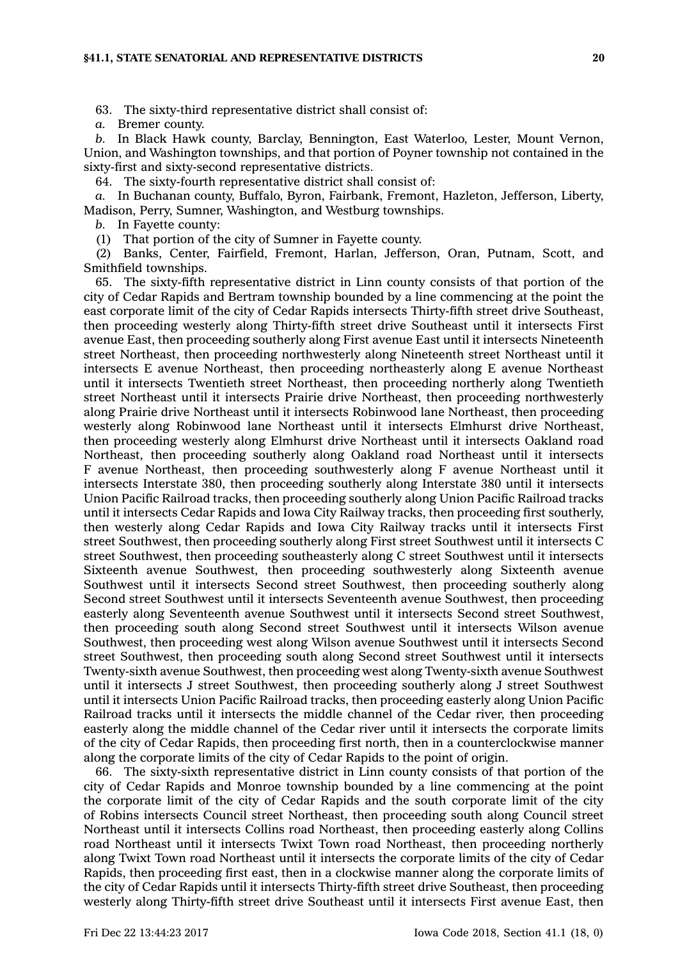63. The sixty-third representative district shall consist of:

*a.* Bremer county.

*b.* In Black Hawk county, Barclay, Bennington, East Waterloo, Lester, Mount Vernon, Union, and Washington townships, and that portion of Poyner township not contained in the sixty-first and sixty-second representative districts.

64. The sixty-fourth representative district shall consist of:

*a.* In Buchanan county, Buffalo, Byron, Fairbank, Fremont, Hazleton, Jefferson, Liberty, Madison, Perry, Sumner, Washington, and Westburg townships.

*b.* In Fayette county:

(1) That portion of the city of Sumner in Fayette county.

(2) Banks, Center, Fairfield, Fremont, Harlan, Jefferson, Oran, Putnam, Scott, and Smithfield townships.

65. The sixty-fifth representative district in Linn county consists of that portion of the city of Cedar Rapids and Bertram township bounded by <sup>a</sup> line commencing at the point the east corporate limit of the city of Cedar Rapids intersects Thirty-fifth street drive Southeast, then proceeding westerly along Thirty-fifth street drive Southeast until it intersects First avenue East, then proceeding southerly along First avenue East until it intersects Nineteenth street Northeast, then proceeding northwesterly along Nineteenth street Northeast until it intersects E avenue Northeast, then proceeding northeasterly along E avenue Northeast until it intersects Twentieth street Northeast, then proceeding northerly along Twentieth street Northeast until it intersects Prairie drive Northeast, then proceeding northwesterly along Prairie drive Northeast until it intersects Robinwood lane Northeast, then proceeding westerly along Robinwood lane Northeast until it intersects Elmhurst drive Northeast, then proceeding westerly along Elmhurst drive Northeast until it intersects Oakland road Northeast, then proceeding southerly along Oakland road Northeast until it intersects F avenue Northeast, then proceeding southwesterly along F avenue Northeast until it intersects Interstate 380, then proceeding southerly along Interstate 380 until it intersects Union Pacific Railroad tracks, then proceeding southerly along Union Pacific Railroad tracks until it intersects Cedar Rapids and Iowa City Railway tracks, then proceeding first southerly, then westerly along Cedar Rapids and Iowa City Railway tracks until it intersects First street Southwest, then proceeding southerly along First street Southwest until it intersects C street Southwest, then proceeding southeasterly along C street Southwest until it intersects Sixteenth avenue Southwest, then proceeding southwesterly along Sixteenth avenue Southwest until it intersects Second street Southwest, then proceeding southerly along Second street Southwest until it intersects Seventeenth avenue Southwest, then proceeding easterly along Seventeenth avenue Southwest until it intersects Second street Southwest, then proceeding south along Second street Southwest until it intersects Wilson avenue Southwest, then proceeding west along Wilson avenue Southwest until it intersects Second street Southwest, then proceeding south along Second street Southwest until it intersects Twenty-sixth avenue Southwest, then proceeding west along Twenty-sixth avenue Southwest until it intersects J street Southwest, then proceeding southerly along J street Southwest until it intersects Union Pacific Railroad tracks, then proceeding easterly along Union Pacific Railroad tracks until it intersects the middle channel of the Cedar river, then proceeding easterly along the middle channel of the Cedar river until it intersects the corporate limits of the city of Cedar Rapids, then proceeding first north, then in <sup>a</sup> counterclockwise manner along the corporate limits of the city of Cedar Rapids to the point of origin.

66. The sixty-sixth representative district in Linn county consists of that portion of the city of Cedar Rapids and Monroe township bounded by <sup>a</sup> line commencing at the point the corporate limit of the city of Cedar Rapids and the south corporate limit of the city of Robins intersects Council street Northeast, then proceeding south along Council street Northeast until it intersects Collins road Northeast, then proceeding easterly along Collins road Northeast until it intersects Twixt Town road Northeast, then proceeding northerly along Twixt Town road Northeast until it intersects the corporate limits of the city of Cedar Rapids, then proceeding first east, then in <sup>a</sup> clockwise manner along the corporate limits of the city of Cedar Rapids until it intersects Thirty-fifth street drive Southeast, then proceeding westerly along Thirty-fifth street drive Southeast until it intersects First avenue East, then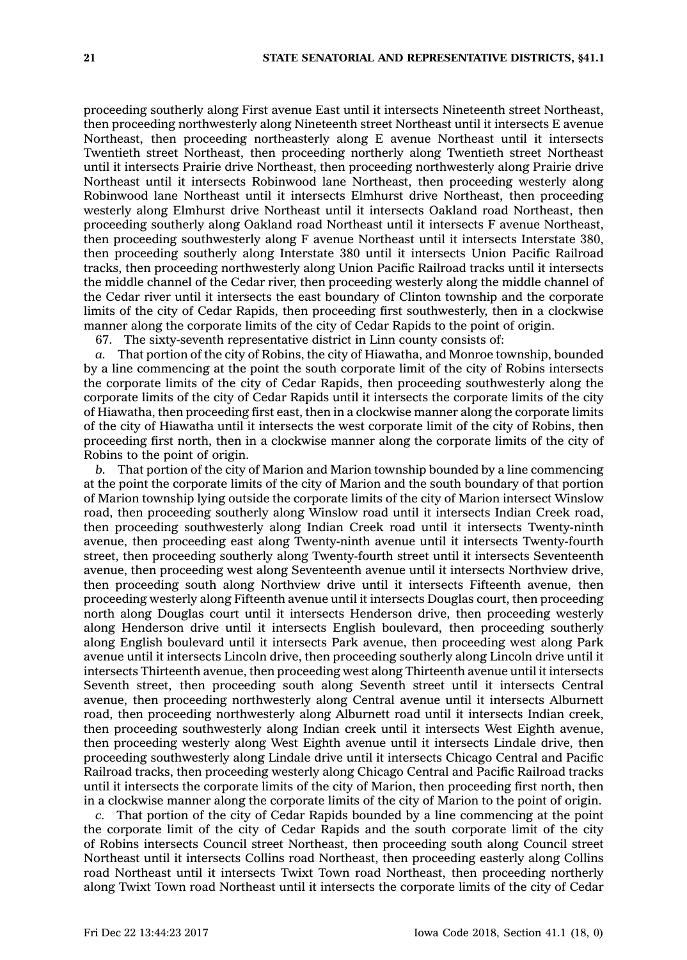proceeding southerly along First avenue East until it intersects Nineteenth street Northeast, then proceeding northwesterly along Nineteenth street Northeast until it intersects E avenue Northeast, then proceeding northeasterly along E avenue Northeast until it intersects Twentieth street Northeast, then proceeding northerly along Twentieth street Northeast until it intersects Prairie drive Northeast, then proceeding northwesterly along Prairie drive Northeast until it intersects Robinwood lane Northeast, then proceeding westerly along Robinwood lane Northeast until it intersects Elmhurst drive Northeast, then proceeding westerly along Elmhurst drive Northeast until it intersects Oakland road Northeast, then proceeding southerly along Oakland road Northeast until it intersects F avenue Northeast, then proceeding southwesterly along F avenue Northeast until it intersects Interstate 380, then proceeding southerly along Interstate 380 until it intersects Union Pacific Railroad tracks, then proceeding northwesterly along Union Pacific Railroad tracks until it intersects the middle channel of the Cedar river, then proceeding westerly along the middle channel of the Cedar river until it intersects the east boundary of Clinton township and the corporate limits of the city of Cedar Rapids, then proceeding first southwesterly, then in <sup>a</sup> clockwise manner along the corporate limits of the city of Cedar Rapids to the point of origin.

67. The sixty-seventh representative district in Linn county consists of:

*a.* That portion of the city of Robins, the city of Hiawatha, and Monroe township, bounded by <sup>a</sup> line commencing at the point the south corporate limit of the city of Robins intersects the corporate limits of the city of Cedar Rapids, then proceeding southwesterly along the corporate limits of the city of Cedar Rapids until it intersects the corporate limits of the city of Hiawatha, then proceeding first east, then in <sup>a</sup> clockwise manner along the corporate limits of the city of Hiawatha until it intersects the west corporate limit of the city of Robins, then proceeding first north, then in <sup>a</sup> clockwise manner along the corporate limits of the city of Robins to the point of origin.

*b.* That portion of the city of Marion and Marion township bounded by <sup>a</sup> line commencing at the point the corporate limits of the city of Marion and the south boundary of that portion of Marion township lying outside the corporate limits of the city of Marion intersect Winslow road, then proceeding southerly along Winslow road until it intersects Indian Creek road, then proceeding southwesterly along Indian Creek road until it intersects Twenty-ninth avenue, then proceeding east along Twenty-ninth avenue until it intersects Twenty-fourth street, then proceeding southerly along Twenty-fourth street until it intersects Seventeenth avenue, then proceeding west along Seventeenth avenue until it intersects Northview drive, then proceeding south along Northview drive until it intersects Fifteenth avenue, then proceeding westerly along Fifteenth avenue until it intersects Douglas court, then proceeding north along Douglas court until it intersects Henderson drive, then proceeding westerly along Henderson drive until it intersects English boulevard, then proceeding southerly along English boulevard until it intersects Park avenue, then proceeding west along Park avenue until it intersects Lincoln drive, then proceeding southerly along Lincoln drive until it intersects Thirteenth avenue, then proceeding west along Thirteenth avenue until it intersects Seventh street, then proceeding south along Seventh street until it intersects Central avenue, then proceeding northwesterly along Central avenue until it intersects Alburnett road, then proceeding northwesterly along Alburnett road until it intersects Indian creek, then proceeding southwesterly along Indian creek until it intersects West Eighth avenue, then proceeding westerly along West Eighth avenue until it intersects Lindale drive, then proceeding southwesterly along Lindale drive until it intersects Chicago Central and Pacific Railroad tracks, then proceeding westerly along Chicago Central and Pacific Railroad tracks until it intersects the corporate limits of the city of Marion, then proceeding first north, then in <sup>a</sup> clockwise manner along the corporate limits of the city of Marion to the point of origin.

*c.* That portion of the city of Cedar Rapids bounded by <sup>a</sup> line commencing at the point the corporate limit of the city of Cedar Rapids and the south corporate limit of the city of Robins intersects Council street Northeast, then proceeding south along Council street Northeast until it intersects Collins road Northeast, then proceeding easterly along Collins road Northeast until it intersects Twixt Town road Northeast, then proceeding northerly along Twixt Town road Northeast until it intersects the corporate limits of the city of Cedar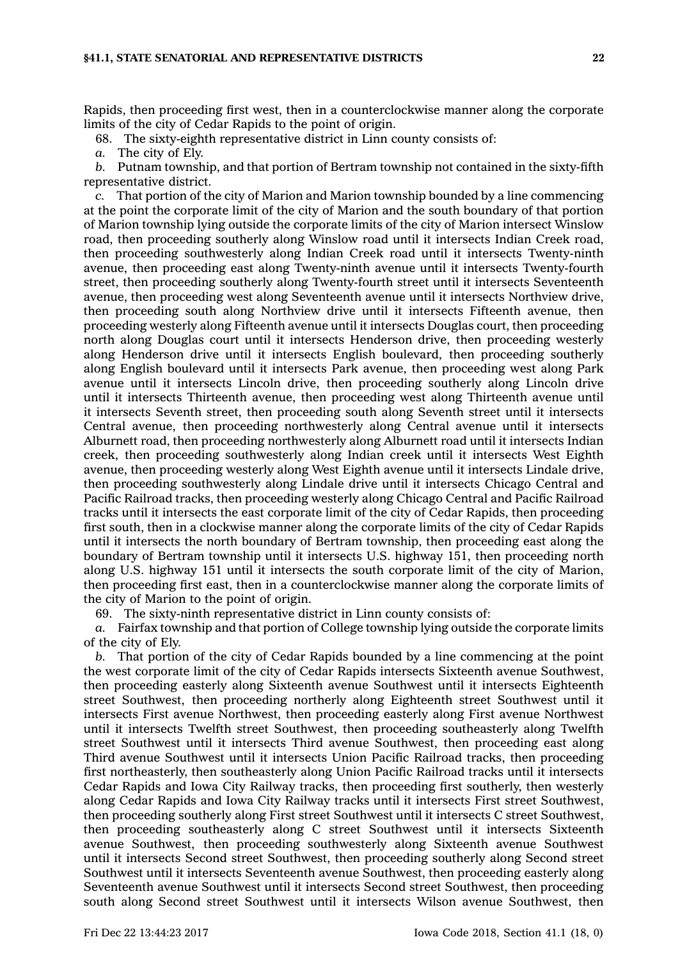Rapids, then proceeding first west, then in <sup>a</sup> counterclockwise manner along the corporate limits of the city of Cedar Rapids to the point of origin.

68. The sixty-eighth representative district in Linn county consists of:

*a.* The city of Ely.

*b.* Putnam township, and that portion of Bertram township not contained in the sixty-fifth representative district.

*c.* That portion of the city of Marion and Marion township bounded by <sup>a</sup> line commencing at the point the corporate limit of the city of Marion and the south boundary of that portion of Marion township lying outside the corporate limits of the city of Marion intersect Winslow road, then proceeding southerly along Winslow road until it intersects Indian Creek road, then proceeding southwesterly along Indian Creek road until it intersects Twenty-ninth avenue, then proceeding east along Twenty-ninth avenue until it intersects Twenty-fourth street, then proceeding southerly along Twenty-fourth street until it intersects Seventeenth avenue, then proceeding west along Seventeenth avenue until it intersects Northview drive, then proceeding south along Northview drive until it intersects Fifteenth avenue, then proceeding westerly along Fifteenth avenue until it intersects Douglas court, then proceeding north along Douglas court until it intersects Henderson drive, then proceeding westerly along Henderson drive until it intersects English boulevard, then proceeding southerly along English boulevard until it intersects Park avenue, then proceeding west along Park avenue until it intersects Lincoln drive, then proceeding southerly along Lincoln drive until it intersects Thirteenth avenue, then proceeding west along Thirteenth avenue until it intersects Seventh street, then proceeding south along Seventh street until it intersects Central avenue, then proceeding northwesterly along Central avenue until it intersects Alburnett road, then proceeding northwesterly along Alburnett road until it intersects Indian creek, then proceeding southwesterly along Indian creek until it intersects West Eighth avenue, then proceeding westerly along West Eighth avenue until it intersects Lindale drive, then proceeding southwesterly along Lindale drive until it intersects Chicago Central and Pacific Railroad tracks, then proceeding westerly along Chicago Central and Pacific Railroad tracks until it intersects the east corporate limit of the city of Cedar Rapids, then proceeding first south, then in <sup>a</sup> clockwise manner along the corporate limits of the city of Cedar Rapids until it intersects the north boundary of Bertram township, then proceeding east along the boundary of Bertram township until it intersects U.S. highway 151, then proceeding north along U.S. highway 151 until it intersects the south corporate limit of the city of Marion, then proceeding first east, then in <sup>a</sup> counterclockwise manner along the corporate limits of the city of Marion to the point of origin.

69. The sixty-ninth representative district in Linn county consists of:

*a.* Fairfax township and that portion of College township lying outside the corporate limits of the city of Ely.

*b.* That portion of the city of Cedar Rapids bounded by <sup>a</sup> line commencing at the point the west corporate limit of the city of Cedar Rapids intersects Sixteenth avenue Southwest, then proceeding easterly along Sixteenth avenue Southwest until it intersects Eighteenth street Southwest, then proceeding northerly along Eighteenth street Southwest until it intersects First avenue Northwest, then proceeding easterly along First avenue Northwest until it intersects Twelfth street Southwest, then proceeding southeasterly along Twelfth street Southwest until it intersects Third avenue Southwest, then proceeding east along Third avenue Southwest until it intersects Union Pacific Railroad tracks, then proceeding first northeasterly, then southeasterly along Union Pacific Railroad tracks until it intersects Cedar Rapids and Iowa City Railway tracks, then proceeding first southerly, then westerly along Cedar Rapids and Iowa City Railway tracks until it intersects First street Southwest, then proceeding southerly along First street Southwest until it intersects C street Southwest, then proceeding southeasterly along C street Southwest until it intersects Sixteenth avenue Southwest, then proceeding southwesterly along Sixteenth avenue Southwest until it intersects Second street Southwest, then proceeding southerly along Second street Southwest until it intersects Seventeenth avenue Southwest, then proceeding easterly along Seventeenth avenue Southwest until it intersects Second street Southwest, then proceeding south along Second street Southwest until it intersects Wilson avenue Southwest, then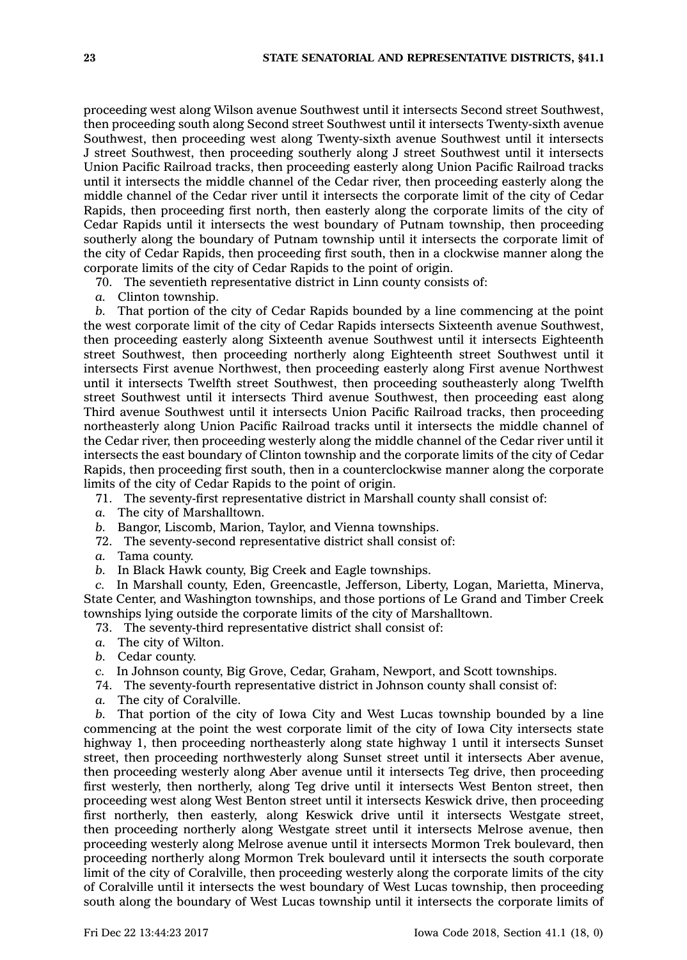proceeding west along Wilson avenue Southwest until it intersects Second street Southwest, then proceeding south along Second street Southwest until it intersects Twenty-sixth avenue Southwest, then proceeding west along Twenty-sixth avenue Southwest until it intersects J street Southwest, then proceeding southerly along J street Southwest until it intersects Union Pacific Railroad tracks, then proceeding easterly along Union Pacific Railroad tracks until it intersects the middle channel of the Cedar river, then proceeding easterly along the middle channel of the Cedar river until it intersects the corporate limit of the city of Cedar Rapids, then proceeding first north, then easterly along the corporate limits of the city of Cedar Rapids until it intersects the west boundary of Putnam township, then proceeding southerly along the boundary of Putnam township until it intersects the corporate limit of the city of Cedar Rapids, then proceeding first south, then in <sup>a</sup> clockwise manner along the corporate limits of the city of Cedar Rapids to the point of origin.

70. The seventieth representative district in Linn county consists of:

*a.* Clinton township.

*b.* That portion of the city of Cedar Rapids bounded by <sup>a</sup> line commencing at the point the west corporate limit of the city of Cedar Rapids intersects Sixteenth avenue Southwest, then proceeding easterly along Sixteenth avenue Southwest until it intersects Eighteenth street Southwest, then proceeding northerly along Eighteenth street Southwest until it intersects First avenue Northwest, then proceeding easterly along First avenue Northwest until it intersects Twelfth street Southwest, then proceeding southeasterly along Twelfth street Southwest until it intersects Third avenue Southwest, then proceeding east along Third avenue Southwest until it intersects Union Pacific Railroad tracks, then proceeding northeasterly along Union Pacific Railroad tracks until it intersects the middle channel of the Cedar river, then proceeding westerly along the middle channel of the Cedar river until it intersects the east boundary of Clinton township and the corporate limits of the city of Cedar Rapids, then proceeding first south, then in <sup>a</sup> counterclockwise manner along the corporate limits of the city of Cedar Rapids to the point of origin.

71. The seventy-first representative district in Marshall county shall consist of:

*a.* The city of Marshalltown.

*b.* Bangor, Liscomb, Marion, Taylor, and Vienna townships.

- 72. The seventy-second representative district shall consist of:
- *a.* Tama county.
- *b.* In Black Hawk county, Big Creek and Eagle townships.

*c.* In Marshall county, Eden, Greencastle, Jefferson, Liberty, Logan, Marietta, Minerva, State Center, and Washington townships, and those portions of Le Grand and Timber Creek townships lying outside the corporate limits of the city of Marshalltown.

- 73. The seventy-third representative district shall consist of:
- *a.* The city of Wilton.
- *b.* Cedar county.

*c.* In Johnson county, Big Grove, Cedar, Graham, Newport, and Scott townships.

74. The seventy-fourth representative district in Johnson county shall consist of:

*a.* The city of Coralville.

*b.* That portion of the city of Iowa City and West Lucas township bounded by <sup>a</sup> line commencing at the point the west corporate limit of the city of Iowa City intersects state highway 1, then proceeding northeasterly along state highway 1 until it intersects Sunset street, then proceeding northwesterly along Sunset street until it intersects Aber avenue, then proceeding westerly along Aber avenue until it intersects Teg drive, then proceeding first westerly, then northerly, along Teg drive until it intersects West Benton street, then proceeding west along West Benton street until it intersects Keswick drive, then proceeding first northerly, then easterly, along Keswick drive until it intersects Westgate street, then proceeding northerly along Westgate street until it intersects Melrose avenue, then proceeding westerly along Melrose avenue until it intersects Mormon Trek boulevard, then proceeding northerly along Mormon Trek boulevard until it intersects the south corporate limit of the city of Coralville, then proceeding westerly along the corporate limits of the city of Coralville until it intersects the west boundary of West Lucas township, then proceeding south along the boundary of West Lucas township until it intersects the corporate limits of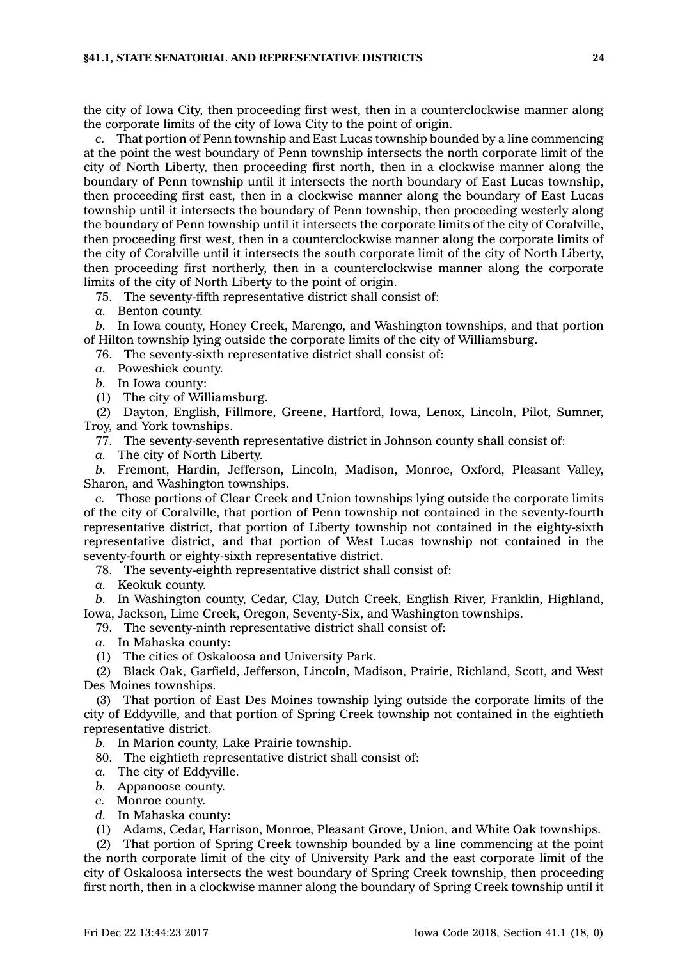the city of Iowa City, then proceeding first west, then in <sup>a</sup> counterclockwise manner along the corporate limits of the city of Iowa City to the point of origin.

*c.* That portion of Penn township and East Lucas township bounded by <sup>a</sup> line commencing at the point the west boundary of Penn township intersects the north corporate limit of the city of North Liberty, then proceeding first north, then in <sup>a</sup> clockwise manner along the boundary of Penn township until it intersects the north boundary of East Lucas township, then proceeding first east, then in <sup>a</sup> clockwise manner along the boundary of East Lucas township until it intersects the boundary of Penn township, then proceeding westerly along the boundary of Penn township until it intersects the corporate limits of the city of Coralville, then proceeding first west, then in <sup>a</sup> counterclockwise manner along the corporate limits of the city of Coralville until it intersects the south corporate limit of the city of North Liberty, then proceeding first northerly, then in <sup>a</sup> counterclockwise manner along the corporate limits of the city of North Liberty to the point of origin.

75. The seventy-fifth representative district shall consist of:

*a.* Benton county.

*b.* In Iowa county, Honey Creek, Marengo, and Washington townships, and that portion of Hilton township lying outside the corporate limits of the city of Williamsburg.

76. The seventy-sixth representative district shall consist of:

*a.* Poweshiek county.

*b.* In Iowa county:

(1) The city of Williamsburg.

(2) Dayton, English, Fillmore, Greene, Hartford, Iowa, Lenox, Lincoln, Pilot, Sumner, Troy, and York townships.

77. The seventy-seventh representative district in Johnson county shall consist of:

*a.* The city of North Liberty.

*b.* Fremont, Hardin, Jefferson, Lincoln, Madison, Monroe, Oxford, Pleasant Valley, Sharon, and Washington townships.

*c.* Those portions of Clear Creek and Union townships lying outside the corporate limits of the city of Coralville, that portion of Penn township not contained in the seventy-fourth representative district, that portion of Liberty township not contained in the eighty-sixth representative district, and that portion of West Lucas township not contained in the seventy-fourth or eighty-sixth representative district.

78. The seventy-eighth representative district shall consist of:

*a.* Keokuk county.

*b.* In Washington county, Cedar, Clay, Dutch Creek, English River, Franklin, Highland, Iowa, Jackson, Lime Creek, Oregon, Seventy-Six, and Washington townships.

79. The seventy-ninth representative district shall consist of:

*a.* In Mahaska county:

(1) The cities of Oskaloosa and University Park.

(2) Black Oak, Garfield, Jefferson, Lincoln, Madison, Prairie, Richland, Scott, and West Des Moines townships.

(3) That portion of East Des Moines township lying outside the corporate limits of the city of Eddyville, and that portion of Spring Creek township not contained in the eightieth representative district.

*b.* In Marion county, Lake Prairie township.

80. The eightieth representative district shall consist of:

*a.* The city of Eddyville.

- *b.* Appanoose county.
- *c.* Monroe county.
- *d.* In Mahaska county:

(1) Adams, Cedar, Harrison, Monroe, Pleasant Grove, Union, and White Oak townships.

(2) That portion of Spring Creek township bounded by <sup>a</sup> line commencing at the point the north corporate limit of the city of University Park and the east corporate limit of the city of Oskaloosa intersects the west boundary of Spring Creek township, then proceeding first north, then in <sup>a</sup> clockwise manner along the boundary of Spring Creek township until it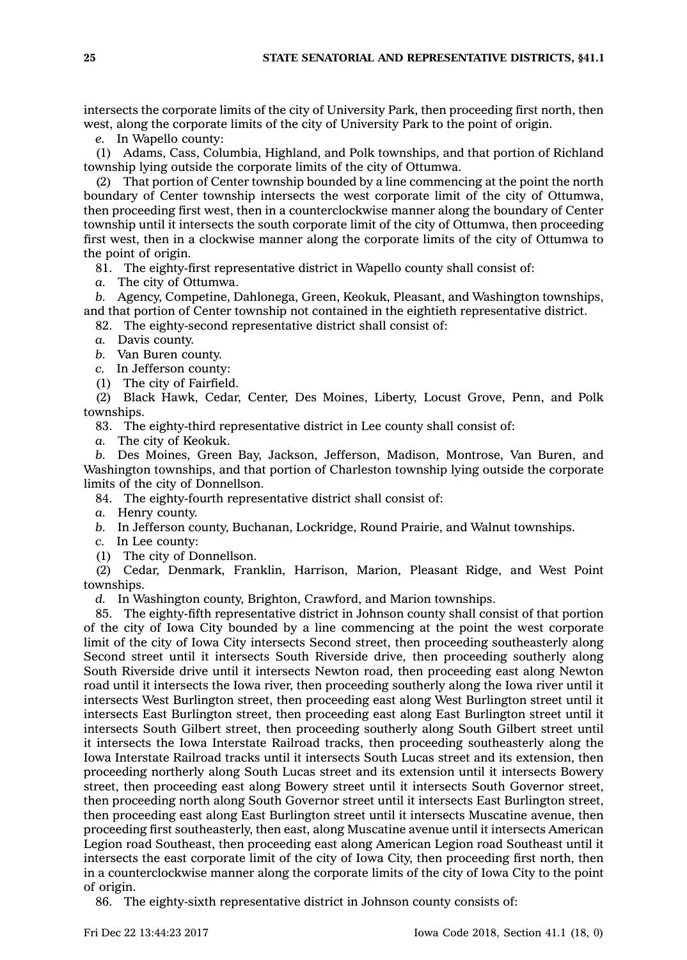intersects the corporate limits of the city of University Park, then proceeding first north, then west, along the corporate limits of the city of University Park to the point of origin.

*e.* In Wapello county:

(1) Adams, Cass, Columbia, Highland, and Polk townships, and that portion of Richland township lying outside the corporate limits of the city of Ottumwa.

(2) That portion of Center township bounded by <sup>a</sup> line commencing at the point the north boundary of Center township intersects the west corporate limit of the city of Ottumwa, then proceeding first west, then in <sup>a</sup> counterclockwise manner along the boundary of Center township until it intersects the south corporate limit of the city of Ottumwa, then proceeding first west, then in <sup>a</sup> clockwise manner along the corporate limits of the city of Ottumwa to the point of origin.

81. The eighty-first representative district in Wapello county shall consist of:

*a.* The city of Ottumwa.

*b.* Agency, Competine, Dahlonega, Green, Keokuk, Pleasant, and Washington townships, and that portion of Center township not contained in the eightieth representative district.

82. The eighty-second representative district shall consist of:

*a.* Davis county.

*b.* Van Buren county.

*c.* In Jefferson county:

(1) The city of Fairfield.

(2) Black Hawk, Cedar, Center, Des Moines, Liberty, Locust Grove, Penn, and Polk townships.

83. The eighty-third representative district in Lee county shall consist of:

*a.* The city of Keokuk.

*b.* Des Moines, Green Bay, Jackson, Jefferson, Madison, Montrose, Van Buren, and Washington townships, and that portion of Charleston township lying outside the corporate limits of the city of Donnellson.

84. The eighty-fourth representative district shall consist of:

*a.* Henry county.

*b.* In Jefferson county, Buchanan, Lockridge, Round Prairie, and Walnut townships.

*c.* In Lee county:

(1) The city of Donnellson.

(2) Cedar, Denmark, Franklin, Harrison, Marion, Pleasant Ridge, and West Point townships.

*d.* In Washington county, Brighton, Crawford, and Marion townships.

85. The eighty-fifth representative district in Johnson county shall consist of that portion of the city of Iowa City bounded by <sup>a</sup> line commencing at the point the west corporate limit of the city of Iowa City intersects Second street, then proceeding southeasterly along Second street until it intersects South Riverside drive, then proceeding southerly along South Riverside drive until it intersects Newton road, then proceeding east along Newton road until it intersects the Iowa river, then proceeding southerly along the Iowa river until it intersects West Burlington street, then proceeding east along West Burlington street until it intersects East Burlington street, then proceeding east along East Burlington street until it intersects South Gilbert street, then proceeding southerly along South Gilbert street until it intersects the Iowa Interstate Railroad tracks, then proceeding southeasterly along the Iowa Interstate Railroad tracks until it intersects South Lucas street and its extension, then proceeding northerly along South Lucas street and its extension until it intersects Bowery street, then proceeding east along Bowery street until it intersects South Governor street, then proceeding north along South Governor street until it intersects East Burlington street, then proceeding east along East Burlington street until it intersects Muscatine avenue, then proceeding first southeasterly, then east, along Muscatine avenue until it intersects American Legion road Southeast, then proceeding east along American Legion road Southeast until it intersects the east corporate limit of the city of Iowa City, then proceeding first north, then in <sup>a</sup> counterclockwise manner along the corporate limits of the city of Iowa City to the point of origin.

86. The eighty-sixth representative district in Johnson county consists of: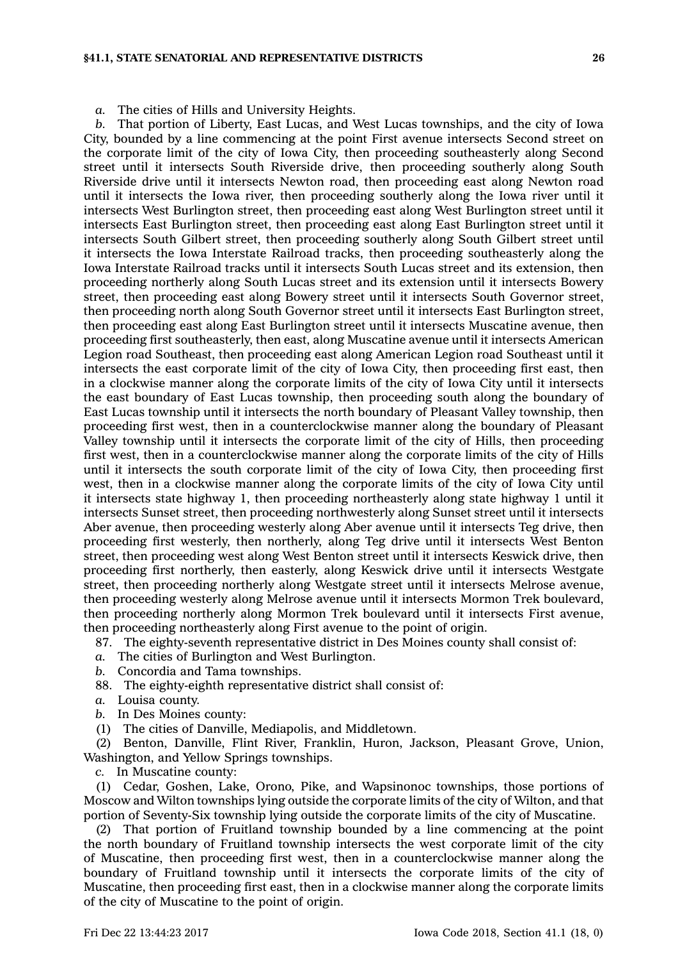## **§41.1, STATE SENATORIAL AND REPRESENTATIVE DISTRICTS 26**

*a.* The cities of Hills and University Heights.

*b.* That portion of Liberty, East Lucas, and West Lucas townships, and the city of Iowa City, bounded by <sup>a</sup> line commencing at the point First avenue intersects Second street on the corporate limit of the city of Iowa City, then proceeding southeasterly along Second street until it intersects South Riverside drive, then proceeding southerly along South Riverside drive until it intersects Newton road, then proceeding east along Newton road until it intersects the Iowa river, then proceeding southerly along the Iowa river until it intersects West Burlington street, then proceeding east along West Burlington street until it intersects East Burlington street, then proceeding east along East Burlington street until it intersects South Gilbert street, then proceeding southerly along South Gilbert street until it intersects the Iowa Interstate Railroad tracks, then proceeding southeasterly along the Iowa Interstate Railroad tracks until it intersects South Lucas street and its extension, then proceeding northerly along South Lucas street and its extension until it intersects Bowery street, then proceeding east along Bowery street until it intersects South Governor street, then proceeding north along South Governor street until it intersects East Burlington street, then proceeding east along East Burlington street until it intersects Muscatine avenue, then proceeding first southeasterly, then east, along Muscatine avenue until it intersects American Legion road Southeast, then proceeding east along American Legion road Southeast until it intersects the east corporate limit of the city of Iowa City, then proceeding first east, then in <sup>a</sup> clockwise manner along the corporate limits of the city of Iowa City until it intersects the east boundary of East Lucas township, then proceeding south along the boundary of East Lucas township until it intersects the north boundary of Pleasant Valley township, then proceeding first west, then in <sup>a</sup> counterclockwise manner along the boundary of Pleasant Valley township until it intersects the corporate limit of the city of Hills, then proceeding first west, then in <sup>a</sup> counterclockwise manner along the corporate limits of the city of Hills until it intersects the south corporate limit of the city of Iowa City, then proceeding first west, then in <sup>a</sup> clockwise manner along the corporate limits of the city of Iowa City until it intersects state highway 1, then proceeding northeasterly along state highway 1 until it intersects Sunset street, then proceeding northwesterly along Sunset street until it intersects Aber avenue, then proceeding westerly along Aber avenue until it intersects Teg drive, then proceeding first westerly, then northerly, along Teg drive until it intersects West Benton street, then proceeding west along West Benton street until it intersects Keswick drive, then proceeding first northerly, then easterly, along Keswick drive until it intersects Westgate street, then proceeding northerly along Westgate street until it intersects Melrose avenue, then proceeding westerly along Melrose avenue until it intersects Mormon Trek boulevard, then proceeding northerly along Mormon Trek boulevard until it intersects First avenue, then proceeding northeasterly along First avenue to the point of origin.

87. The eighty-seventh representative district in Des Moines county shall consist of:

- *a.* The cities of Burlington and West Burlington.
- *b.* Concordia and Tama townships.
- 88. The eighty-eighth representative district shall consist of:
- *a.* Louisa county.
- *b.* In Des Moines county:
- (1) The cities of Danville, Mediapolis, and Middletown.

(2) Benton, Danville, Flint River, Franklin, Huron, Jackson, Pleasant Grove, Union, Washington, and Yellow Springs townships.

*c.* In Muscatine county:

(1) Cedar, Goshen, Lake, Orono, Pike, and Wapsinonoc townships, those portions of Moscow and Wilton townships lying outside the corporate limits of the city of Wilton, and that portion of Seventy-Six township lying outside the corporate limits of the city of Muscatine.

(2) That portion of Fruitland township bounded by <sup>a</sup> line commencing at the point the north boundary of Fruitland township intersects the west corporate limit of the city of Muscatine, then proceeding first west, then in <sup>a</sup> counterclockwise manner along the boundary of Fruitland township until it intersects the corporate limits of the city of Muscatine, then proceeding first east, then in <sup>a</sup> clockwise manner along the corporate limits of the city of Muscatine to the point of origin.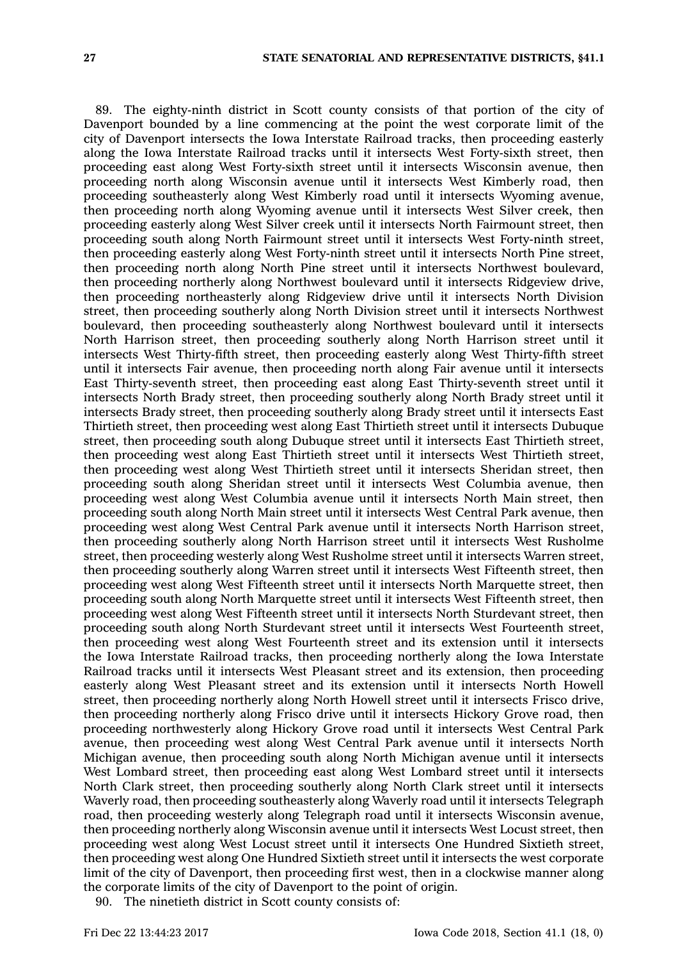89. The eighty-ninth district in Scott county consists of that portion of the city of Davenport bounded by <sup>a</sup> line commencing at the point the west corporate limit of the city of Davenport intersects the Iowa Interstate Railroad tracks, then proceeding easterly along the Iowa Interstate Railroad tracks until it intersects West Forty-sixth street, then proceeding east along West Forty-sixth street until it intersects Wisconsin avenue, then proceeding north along Wisconsin avenue until it intersects West Kimberly road, then proceeding southeasterly along West Kimberly road until it intersects Wyoming avenue, then proceeding north along Wyoming avenue until it intersects West Silver creek, then proceeding easterly along West Silver creek until it intersects North Fairmount street, then proceeding south along North Fairmount street until it intersects West Forty-ninth street, then proceeding easterly along West Forty-ninth street until it intersects North Pine street, then proceeding north along North Pine street until it intersects Northwest boulevard, then proceeding northerly along Northwest boulevard until it intersects Ridgeview drive, then proceeding northeasterly along Ridgeview drive until it intersects North Division street, then proceeding southerly along North Division street until it intersects Northwest boulevard, then proceeding southeasterly along Northwest boulevard until it intersects North Harrison street, then proceeding southerly along North Harrison street until it intersects West Thirty-fifth street, then proceeding easterly along West Thirty-fifth street until it intersects Fair avenue, then proceeding north along Fair avenue until it intersects East Thirty-seventh street, then proceeding east along East Thirty-seventh street until it intersects North Brady street, then proceeding southerly along North Brady street until it intersects Brady street, then proceeding southerly along Brady street until it intersects East Thirtieth street, then proceeding west along East Thirtieth street until it intersects Dubuque street, then proceeding south along Dubuque street until it intersects East Thirtieth street, then proceeding west along East Thirtieth street until it intersects West Thirtieth street, then proceeding west along West Thirtieth street until it intersects Sheridan street, then proceeding south along Sheridan street until it intersects West Columbia avenue, then proceeding west along West Columbia avenue until it intersects North Main street, then proceeding south along North Main street until it intersects West Central Park avenue, then proceeding west along West Central Park avenue until it intersects North Harrison street, then proceeding southerly along North Harrison street until it intersects West Rusholme street, then proceeding westerly along West Rusholme street until it intersects Warren street, then proceeding southerly along Warren street until it intersects West Fifteenth street, then proceeding west along West Fifteenth street until it intersects North Marquette street, then proceeding south along North Marquette street until it intersects West Fifteenth street, then proceeding west along West Fifteenth street until it intersects North Sturdevant street, then proceeding south along North Sturdevant street until it intersects West Fourteenth street, then proceeding west along West Fourteenth street and its extension until it intersects the Iowa Interstate Railroad tracks, then proceeding northerly along the Iowa Interstate Railroad tracks until it intersects West Pleasant street and its extension, then proceeding easterly along West Pleasant street and its extension until it intersects North Howell street, then proceeding northerly along North Howell street until it intersects Frisco drive, then proceeding northerly along Frisco drive until it intersects Hickory Grove road, then proceeding northwesterly along Hickory Grove road until it intersects West Central Park avenue, then proceeding west along West Central Park avenue until it intersects North Michigan avenue, then proceeding south along North Michigan avenue until it intersects West Lombard street, then proceeding east along West Lombard street until it intersects North Clark street, then proceeding southerly along North Clark street until it intersects Waverly road, then proceeding southeasterly along Waverly road until it intersects Telegraph road, then proceeding westerly along Telegraph road until it intersects Wisconsin avenue, then proceeding northerly along Wisconsin avenue until it intersects West Locust street, then proceeding west along West Locust street until it intersects One Hundred Sixtieth street, then proceeding west along One Hundred Sixtieth street until it intersects the west corporate limit of the city of Davenport, then proceeding first west, then in <sup>a</sup> clockwise manner along the corporate limits of the city of Davenport to the point of origin.

90. The ninetieth district in Scott county consists of: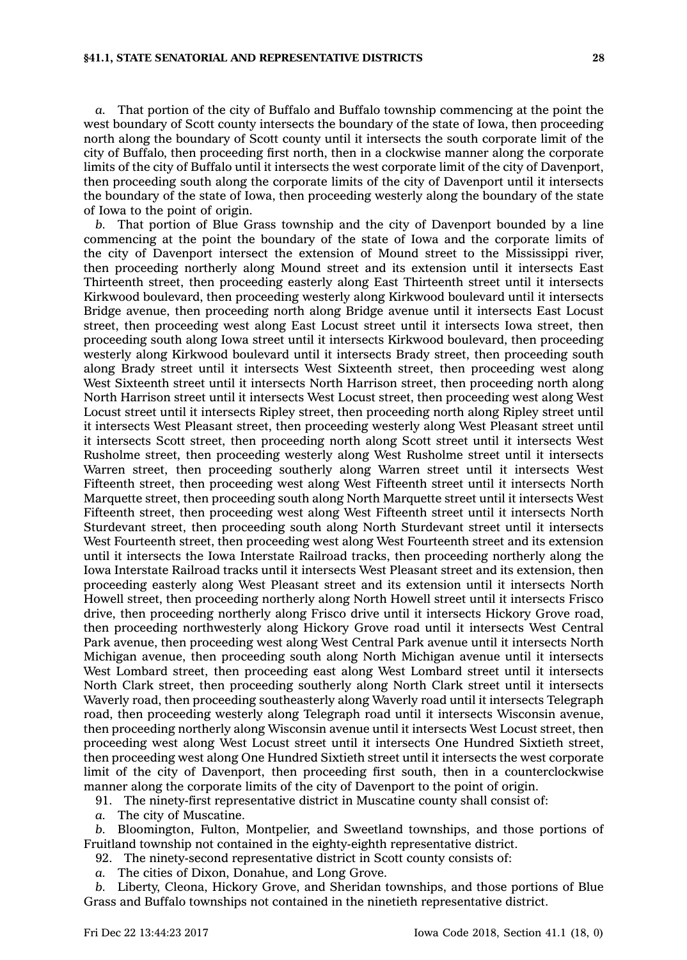*a.* That portion of the city of Buffalo and Buffalo township commencing at the point the west boundary of Scott county intersects the boundary of the state of Iowa, then proceeding north along the boundary of Scott county until it intersects the south corporate limit of the city of Buffalo, then proceeding first north, then in <sup>a</sup> clockwise manner along the corporate limits of the city of Buffalo until it intersects the west corporate limit of the city of Davenport, then proceeding south along the corporate limits of the city of Davenport until it intersects the boundary of the state of Iowa, then proceeding westerly along the boundary of the state of Iowa to the point of origin.

*b.* That portion of Blue Grass township and the city of Davenport bounded by <sup>a</sup> line commencing at the point the boundary of the state of Iowa and the corporate limits of the city of Davenport intersect the extension of Mound street to the Mississippi river, then proceeding northerly along Mound street and its extension until it intersects East Thirteenth street, then proceeding easterly along East Thirteenth street until it intersects Kirkwood boulevard, then proceeding westerly along Kirkwood boulevard until it intersects Bridge avenue, then proceeding north along Bridge avenue until it intersects East Locust street, then proceeding west along East Locust street until it intersects Iowa street, then proceeding south along Iowa street until it intersects Kirkwood boulevard, then proceeding westerly along Kirkwood boulevard until it intersects Brady street, then proceeding south along Brady street until it intersects West Sixteenth street, then proceeding west along West Sixteenth street until it intersects North Harrison street, then proceeding north along North Harrison street until it intersects West Locust street, then proceeding west along West Locust street until it intersects Ripley street, then proceeding north along Ripley street until it intersects West Pleasant street, then proceeding westerly along West Pleasant street until it intersects Scott street, then proceeding north along Scott street until it intersects West Rusholme street, then proceeding westerly along West Rusholme street until it intersects Warren street, then proceeding southerly along Warren street until it intersects West Fifteenth street, then proceeding west along West Fifteenth street until it intersects North Marquette street, then proceeding south along North Marquette street until it intersects West Fifteenth street, then proceeding west along West Fifteenth street until it intersects North Sturdevant street, then proceeding south along North Sturdevant street until it intersects West Fourteenth street, then proceeding west along West Fourteenth street and its extension until it intersects the Iowa Interstate Railroad tracks, then proceeding northerly along the Iowa Interstate Railroad tracks until it intersects West Pleasant street and its extension, then proceeding easterly along West Pleasant street and its extension until it intersects North Howell street, then proceeding northerly along North Howell street until it intersects Frisco drive, then proceeding northerly along Frisco drive until it intersects Hickory Grove road, then proceeding northwesterly along Hickory Grove road until it intersects West Central Park avenue, then proceeding west along West Central Park avenue until it intersects North Michigan avenue, then proceeding south along North Michigan avenue until it intersects West Lombard street, then proceeding east along West Lombard street until it intersects North Clark street, then proceeding southerly along North Clark street until it intersects Waverly road, then proceeding southeasterly along Waverly road until it intersects Telegraph road, then proceeding westerly along Telegraph road until it intersects Wisconsin avenue, then proceeding northerly along Wisconsin avenue until it intersects West Locust street, then proceeding west along West Locust street until it intersects One Hundred Sixtieth street, then proceeding west along One Hundred Sixtieth street until it intersects the west corporate limit of the city of Davenport, then proceeding first south, then in <sup>a</sup> counterclockwise manner along the corporate limits of the city of Davenport to the point of origin.

91. The ninety-first representative district in Muscatine county shall consist of:

*a.* The city of Muscatine.

*b.* Bloomington, Fulton, Montpelier, and Sweetland townships, and those portions of Fruitland township not contained in the eighty-eighth representative district.

92. The ninety-second representative district in Scott county consists of:

*a.* The cities of Dixon, Donahue, and Long Grove.

*b.* Liberty, Cleona, Hickory Grove, and Sheridan townships, and those portions of Blue Grass and Buffalo townships not contained in the ninetieth representative district.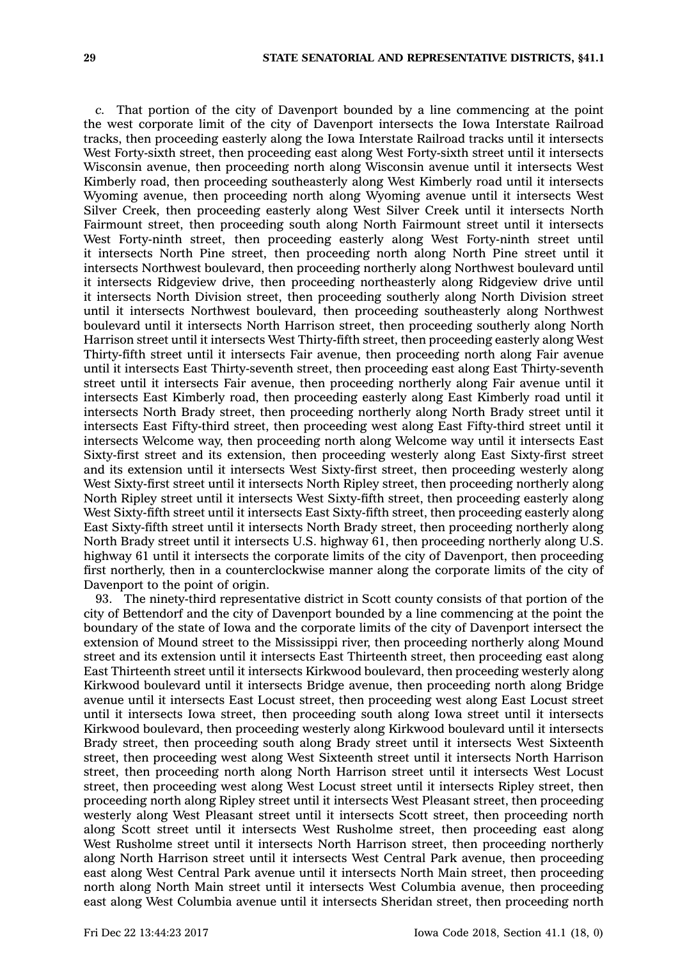*c.* That portion of the city of Davenport bounded by <sup>a</sup> line commencing at the point the west corporate limit of the city of Davenport intersects the Iowa Interstate Railroad tracks, then proceeding easterly along the Iowa Interstate Railroad tracks until it intersects West Forty-sixth street, then proceeding east along West Forty-sixth street until it intersects Wisconsin avenue, then proceeding north along Wisconsin avenue until it intersects West Kimberly road, then proceeding southeasterly along West Kimberly road until it intersects Wyoming avenue, then proceeding north along Wyoming avenue until it intersects West Silver Creek, then proceeding easterly along West Silver Creek until it intersects North Fairmount street, then proceeding south along North Fairmount street until it intersects West Forty-ninth street, then proceeding easterly along West Forty-ninth street until it intersects North Pine street, then proceeding north along North Pine street until it intersects Northwest boulevard, then proceeding northerly along Northwest boulevard until it intersects Ridgeview drive, then proceeding northeasterly along Ridgeview drive until it intersects North Division street, then proceeding southerly along North Division street until it intersects Northwest boulevard, then proceeding southeasterly along Northwest boulevard until it intersects North Harrison street, then proceeding southerly along North Harrison street until it intersects West Thirty-fifth street, then proceeding easterly along West Thirty-fifth street until it intersects Fair avenue, then proceeding north along Fair avenue until it intersects East Thirty-seventh street, then proceeding east along East Thirty-seventh street until it intersects Fair avenue, then proceeding northerly along Fair avenue until it intersects East Kimberly road, then proceeding easterly along East Kimberly road until it intersects North Brady street, then proceeding northerly along North Brady street until it intersects East Fifty-third street, then proceeding west along East Fifty-third street until it intersects Welcome way, then proceeding north along Welcome way until it intersects East Sixty-first street and its extension, then proceeding westerly along East Sixty-first street and its extension until it intersects West Sixty-first street, then proceeding westerly along West Sixty-first street until it intersects North Ripley street, then proceeding northerly along North Ripley street until it intersects West Sixty-fifth street, then proceeding easterly along West Sixty-fifth street until it intersects East Sixty-fifth street, then proceeding easterly along East Sixty-fifth street until it intersects North Brady street, then proceeding northerly along North Brady street until it intersects U.S. highway 61, then proceeding northerly along U.S. highway 61 until it intersects the corporate limits of the city of Davenport, then proceeding first northerly, then in <sup>a</sup> counterclockwise manner along the corporate limits of the city of Davenport to the point of origin.

93. The ninety-third representative district in Scott county consists of that portion of the city of Bettendorf and the city of Davenport bounded by <sup>a</sup> line commencing at the point the boundary of the state of Iowa and the corporate limits of the city of Davenport intersect the extension of Mound street to the Mississippi river, then proceeding northerly along Mound street and its extension until it intersects East Thirteenth street, then proceeding east along East Thirteenth street until it intersects Kirkwood boulevard, then proceeding westerly along Kirkwood boulevard until it intersects Bridge avenue, then proceeding north along Bridge avenue until it intersects East Locust street, then proceeding west along East Locust street until it intersects Iowa street, then proceeding south along Iowa street until it intersects Kirkwood boulevard, then proceeding westerly along Kirkwood boulevard until it intersects Brady street, then proceeding south along Brady street until it intersects West Sixteenth street, then proceeding west along West Sixteenth street until it intersects North Harrison street, then proceeding north along North Harrison street until it intersects West Locust street, then proceeding west along West Locust street until it intersects Ripley street, then proceeding north along Ripley street until it intersects West Pleasant street, then proceeding westerly along West Pleasant street until it intersects Scott street, then proceeding north along Scott street until it intersects West Rusholme street, then proceeding east along West Rusholme street until it intersects North Harrison street, then proceeding northerly along North Harrison street until it intersects West Central Park avenue, then proceeding east along West Central Park avenue until it intersects North Main street, then proceeding north along North Main street until it intersects West Columbia avenue, then proceeding east along West Columbia avenue until it intersects Sheridan street, then proceeding north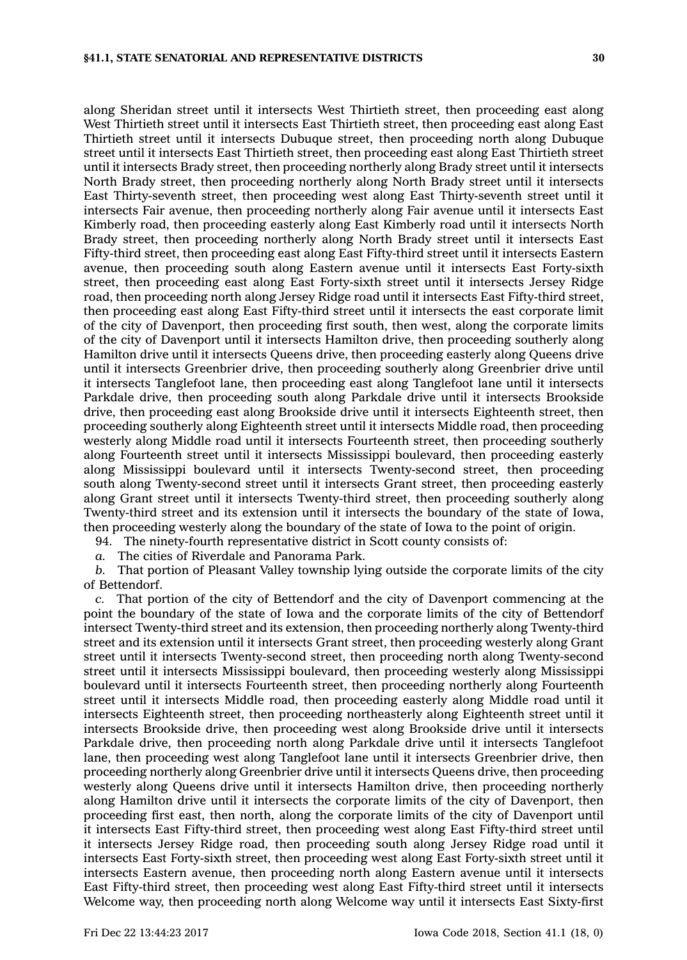along Sheridan street until it intersects West Thirtieth street, then proceeding east along West Thirtieth street until it intersects East Thirtieth street, then proceeding east along East Thirtieth street until it intersects Dubuque street, then proceeding north along Dubuque street until it intersects East Thirtieth street, then proceeding east along East Thirtieth street until it intersects Brady street, then proceeding northerly along Brady street until it intersects North Brady street, then proceeding northerly along North Brady street until it intersects East Thirty-seventh street, then proceeding west along East Thirty-seventh street until it intersects Fair avenue, then proceeding northerly along Fair avenue until it intersects East Kimberly road, then proceeding easterly along East Kimberly road until it intersects North Brady street, then proceeding northerly along North Brady street until it intersects East Fifty-third street, then proceeding east along East Fifty-third street until it intersects Eastern avenue, then proceeding south along Eastern avenue until it intersects East Forty-sixth street, then proceeding east along East Forty-sixth street until it intersects Jersey Ridge road, then proceeding north along Jersey Ridge road until it intersects East Fifty-third street, then proceeding east along East Fifty-third street until it intersects the east corporate limit of the city of Davenport, then proceeding first south, then west, along the corporate limits of the city of Davenport until it intersects Hamilton drive, then proceeding southerly along Hamilton drive until it intersects Queens drive, then proceeding easterly along Queens drive until it intersects Greenbrier drive, then proceeding southerly along Greenbrier drive until it intersects Tanglefoot lane, then proceeding east along Tanglefoot lane until it intersects Parkdale drive, then proceeding south along Parkdale drive until it intersects Brookside drive, then proceeding east along Brookside drive until it intersects Eighteenth street, then proceeding southerly along Eighteenth street until it intersects Middle road, then proceeding westerly along Middle road until it intersects Fourteenth street, then proceeding southerly along Fourteenth street until it intersects Mississippi boulevard, then proceeding easterly along Mississippi boulevard until it intersects Twenty-second street, then proceeding south along Twenty-second street until it intersects Grant street, then proceeding easterly along Grant street until it intersects Twenty-third street, then proceeding southerly along Twenty-third street and its extension until it intersects the boundary of the state of Iowa, then proceeding westerly along the boundary of the state of Iowa to the point of origin.

94. The ninety-fourth representative district in Scott county consists of:

*a.* The cities of Riverdale and Panorama Park.

*b.* That portion of Pleasant Valley township lying outside the corporate limits of the city of Bettendorf.

*c.* That portion of the city of Bettendorf and the city of Davenport commencing at the point the boundary of the state of Iowa and the corporate limits of the city of Bettendorf intersect Twenty-third street and its extension, then proceeding northerly along Twenty-third street and its extension until it intersects Grant street, then proceeding westerly along Grant street until it intersects Twenty-second street, then proceeding north along Twenty-second street until it intersects Mississippi boulevard, then proceeding westerly along Mississippi boulevard until it intersects Fourteenth street, then proceeding northerly along Fourteenth street until it intersects Middle road, then proceeding easterly along Middle road until it intersects Eighteenth street, then proceeding northeasterly along Eighteenth street until it intersects Brookside drive, then proceeding west along Brookside drive until it intersects Parkdale drive, then proceeding north along Parkdale drive until it intersects Tanglefoot lane, then proceeding west along Tanglefoot lane until it intersects Greenbrier drive, then proceeding northerly along Greenbrier drive until it intersects Queens drive, then proceeding westerly along Queens drive until it intersects Hamilton drive, then proceeding northerly along Hamilton drive until it intersects the corporate limits of the city of Davenport, then proceeding first east, then north, along the corporate limits of the city of Davenport until it intersects East Fifty-third street, then proceeding west along East Fifty-third street until it intersects Jersey Ridge road, then proceeding south along Jersey Ridge road until it intersects East Forty-sixth street, then proceeding west along East Forty-sixth street until it intersects Eastern avenue, then proceeding north along Eastern avenue until it intersects East Fifty-third street, then proceeding west along East Fifty-third street until it intersects Welcome way, then proceeding north along Welcome way until it intersects East Sixty-first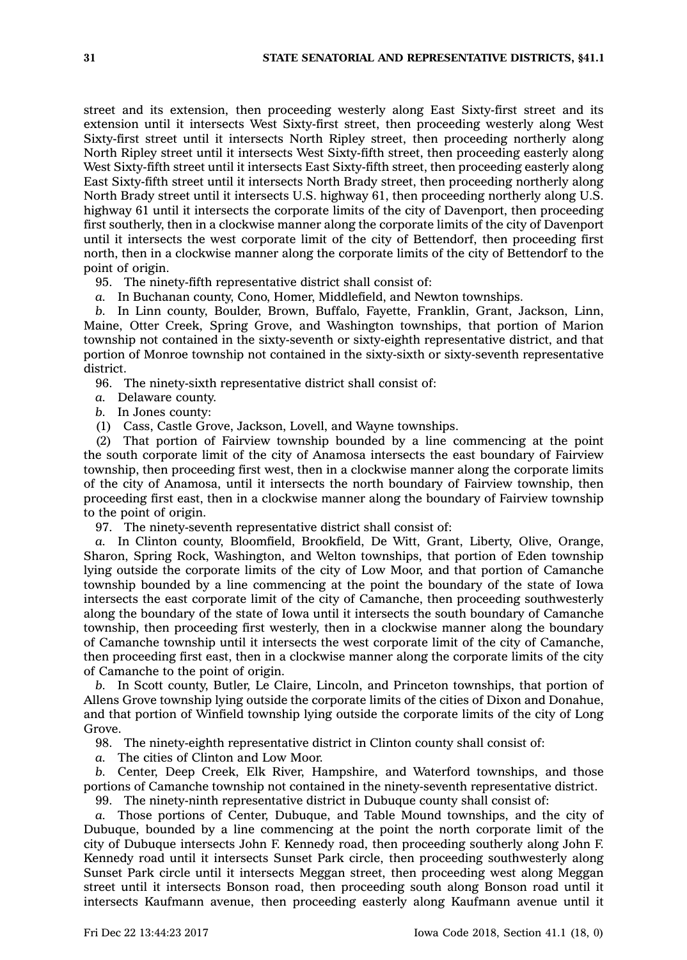street and its extension, then proceeding westerly along East Sixty-first street and its extension until it intersects West Sixty-first street, then proceeding westerly along West Sixty-first street until it intersects North Ripley street, then proceeding northerly along North Ripley street until it intersects West Sixty-fifth street, then proceeding easterly along West Sixty-fifth street until it intersects East Sixty-fifth street, then proceeding easterly along East Sixty-fifth street until it intersects North Brady street, then proceeding northerly along North Brady street until it intersects U.S. highway 61, then proceeding northerly along U.S. highway 61 until it intersects the corporate limits of the city of Davenport, then proceeding first southerly, then in <sup>a</sup> clockwise manner along the corporate limits of the city of Davenport until it intersects the west corporate limit of the city of Bettendorf, then proceeding first north, then in <sup>a</sup> clockwise manner along the corporate limits of the city of Bettendorf to the point of origin.

95. The ninety-fifth representative district shall consist of:

*a.* In Buchanan county, Cono, Homer, Middlefield, and Newton townships.

*b.* In Linn county, Boulder, Brown, Buffalo, Fayette, Franklin, Grant, Jackson, Linn, Maine, Otter Creek, Spring Grove, and Washington townships, that portion of Marion township not contained in the sixty-seventh or sixty-eighth representative district, and that portion of Monroe township not contained in the sixty-sixth or sixty-seventh representative district.

96. The ninety-sixth representative district shall consist of:

- *a.* Delaware county.
- *b.* In Jones county:
- (1) Cass, Castle Grove, Jackson, Lovell, and Wayne townships.

(2) That portion of Fairview township bounded by <sup>a</sup> line commencing at the point the south corporate limit of the city of Anamosa intersects the east boundary of Fairview township, then proceeding first west, then in <sup>a</sup> clockwise manner along the corporate limits of the city of Anamosa, until it intersects the north boundary of Fairview township, then proceeding first east, then in <sup>a</sup> clockwise manner along the boundary of Fairview township to the point of origin.

97. The ninety-seventh representative district shall consist of:

*a.* In Clinton county, Bloomfield, Brookfield, De Witt, Grant, Liberty, Olive, Orange, Sharon, Spring Rock, Washington, and Welton townships, that portion of Eden township lying outside the corporate limits of the city of Low Moor, and that portion of Camanche township bounded by <sup>a</sup> line commencing at the point the boundary of the state of Iowa intersects the east corporate limit of the city of Camanche, then proceeding southwesterly along the boundary of the state of Iowa until it intersects the south boundary of Camanche township, then proceeding first westerly, then in <sup>a</sup> clockwise manner along the boundary of Camanche township until it intersects the west corporate limit of the city of Camanche, then proceeding first east, then in <sup>a</sup> clockwise manner along the corporate limits of the city of Camanche to the point of origin.

*b.* In Scott county, Butler, Le Claire, Lincoln, and Princeton townships, that portion of Allens Grove township lying outside the corporate limits of the cities of Dixon and Donahue, and that portion of Winfield township lying outside the corporate limits of the city of Long Grove.

98. The ninety-eighth representative district in Clinton county shall consist of:

*a.* The cities of Clinton and Low Moor.

*b.* Center, Deep Creek, Elk River, Hampshire, and Waterford townships, and those portions of Camanche township not contained in the ninety-seventh representative district.

99. The ninety-ninth representative district in Dubuque county shall consist of:

*a.* Those portions of Center, Dubuque, and Table Mound townships, and the city of Dubuque, bounded by <sup>a</sup> line commencing at the point the north corporate limit of the city of Dubuque intersects John F. Kennedy road, then proceeding southerly along John F. Kennedy road until it intersects Sunset Park circle, then proceeding southwesterly along Sunset Park circle until it intersects Meggan street, then proceeding west along Meggan street until it intersects Bonson road, then proceeding south along Bonson road until it intersects Kaufmann avenue, then proceeding easterly along Kaufmann avenue until it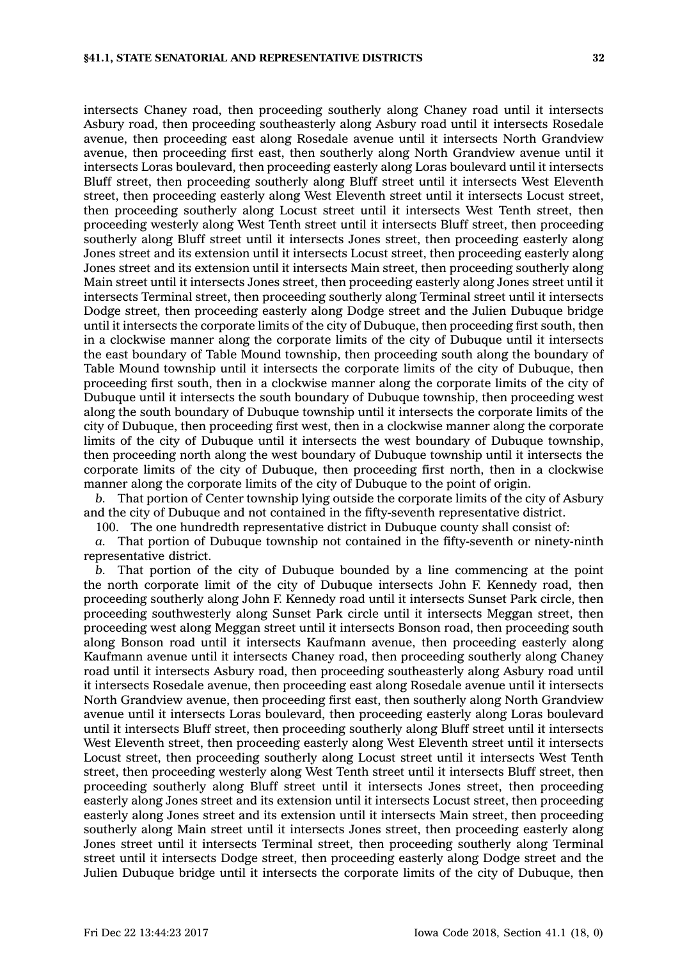intersects Chaney road, then proceeding southerly along Chaney road until it intersects Asbury road, then proceeding southeasterly along Asbury road until it intersects Rosedale avenue, then proceeding east along Rosedale avenue until it intersects North Grandview avenue, then proceeding first east, then southerly along North Grandview avenue until it intersects Loras boulevard, then proceeding easterly along Loras boulevard until it intersects Bluff street, then proceeding southerly along Bluff street until it intersects West Eleventh street, then proceeding easterly along West Eleventh street until it intersects Locust street, then proceeding southerly along Locust street until it intersects West Tenth street, then proceeding westerly along West Tenth street until it intersects Bluff street, then proceeding southerly along Bluff street until it intersects Jones street, then proceeding easterly along Jones street and its extension until it intersects Locust street, then proceeding easterly along Jones street and its extension until it intersects Main street, then proceeding southerly along Main street until it intersects Jones street, then proceeding easterly along Jones street until it intersects Terminal street, then proceeding southerly along Terminal street until it intersects Dodge street, then proceeding easterly along Dodge street and the Julien Dubuque bridge until it intersects the corporate limits of the city of Dubuque, then proceeding first south, then in <sup>a</sup> clockwise manner along the corporate limits of the city of Dubuque until it intersects the east boundary of Table Mound township, then proceeding south along the boundary of Table Mound township until it intersects the corporate limits of the city of Dubuque, then proceeding first south, then in <sup>a</sup> clockwise manner along the corporate limits of the city of Dubuque until it intersects the south boundary of Dubuque township, then proceeding west along the south boundary of Dubuque township until it intersects the corporate limits of the city of Dubuque, then proceeding first west, then in <sup>a</sup> clockwise manner along the corporate limits of the city of Dubuque until it intersects the west boundary of Dubuque township, then proceeding north along the west boundary of Dubuque township until it intersects the corporate limits of the city of Dubuque, then proceeding first north, then in <sup>a</sup> clockwise manner along the corporate limits of the city of Dubuque to the point of origin.

*b.* That portion of Center township lying outside the corporate limits of the city of Asbury and the city of Dubuque and not contained in the fifty-seventh representative district.

100. The one hundredth representative district in Dubuque county shall consist of:

*a.* That portion of Dubuque township not contained in the fifty-seventh or ninety-ninth representative district.

*b.* That portion of the city of Dubuque bounded by <sup>a</sup> line commencing at the point the north corporate limit of the city of Dubuque intersects John F. Kennedy road, then proceeding southerly along John F. Kennedy road until it intersects Sunset Park circle, then proceeding southwesterly along Sunset Park circle until it intersects Meggan street, then proceeding west along Meggan street until it intersects Bonson road, then proceeding south along Bonson road until it intersects Kaufmann avenue, then proceeding easterly along Kaufmann avenue until it intersects Chaney road, then proceeding southerly along Chaney road until it intersects Asbury road, then proceeding southeasterly along Asbury road until it intersects Rosedale avenue, then proceeding east along Rosedale avenue until it intersects North Grandview avenue, then proceeding first east, then southerly along North Grandview avenue until it intersects Loras boulevard, then proceeding easterly along Loras boulevard until it intersects Bluff street, then proceeding southerly along Bluff street until it intersects West Eleventh street, then proceeding easterly along West Eleventh street until it intersects Locust street, then proceeding southerly along Locust street until it intersects West Tenth street, then proceeding westerly along West Tenth street until it intersects Bluff street, then proceeding southerly along Bluff street until it intersects Jones street, then proceeding easterly along Jones street and its extension until it intersects Locust street, then proceeding easterly along Jones street and its extension until it intersects Main street, then proceeding southerly along Main street until it intersects Jones street, then proceeding easterly along Jones street until it intersects Terminal street, then proceeding southerly along Terminal street until it intersects Dodge street, then proceeding easterly along Dodge street and the Julien Dubuque bridge until it intersects the corporate limits of the city of Dubuque, then